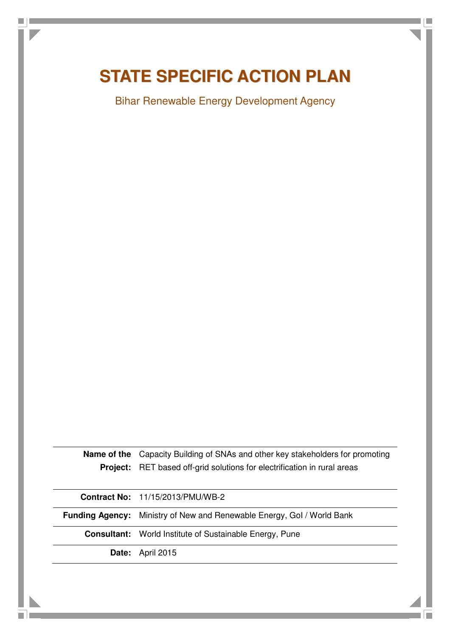# **STATE SPECIFIC ACTION PLAN**

Bihar Renewable Energy Development Agency

**Name of the**  Capacity Building of SNAs and other key stakeholders for promoting **Project:** RET based off-grid solutions for electrification in rural areas

**Contract No:** 11/15/2013/PMU/WB-2

**Funding Agency:** Ministry of New and Renewable Energy, GoI / World Bank

**Consultant:** World Institute of Sustainable Energy, Pune

**Date:** April 2015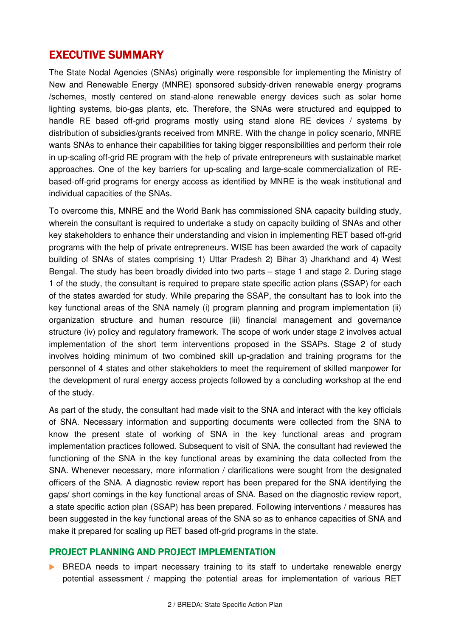# EXECUTIVE SUMMARY

The State Nodal Agencies (SNAs) originally were responsible for implementing the Ministry of New and Renewable Energy (MNRE) sponsored subsidy-driven renewable energy programs /schemes, mostly centered on stand-alone renewable energy devices such as solar home lighting systems, bio-gas plants, etc. Therefore, the SNAs were structured and equipped to handle RE based off-grid programs mostly using stand alone RE devices / systems by distribution of subsidies/grants received from MNRE. With the change in policy scenario, MNRE wants SNAs to enhance their capabilities for taking bigger responsibilities and perform their role in up-scaling off-grid RE program with the help of private entrepreneurs with sustainable market approaches. One of the key barriers for up-scaling and large-scale commercialization of REbased-off-grid programs for energy access as identified by MNRE is the weak institutional and individual capacities of the SNAs.

To overcome this, MNRE and the World Bank has commissioned SNA capacity building study, wherein the consultant is required to undertake a study on capacity building of SNAs and other key stakeholders to enhance their understanding and vision in implementing RET based off-grid programs with the help of private entrepreneurs. WISE has been awarded the work of capacity building of SNAs of states comprising 1) Uttar Pradesh 2) Bihar 3) Jharkhand and 4) West Bengal. The study has been broadly divided into two parts – stage 1 and stage 2. During stage 1 of the study, the consultant is required to prepare state specific action plans (SSAP) for each of the states awarded for study. While preparing the SSAP, the consultant has to look into the key functional areas of the SNA namely (i) program planning and program implementation (ii) organization structure and human resource (iii) financial management and governance structure (iv) policy and regulatory framework. The scope of work under stage 2 involves actual implementation of the short term interventions proposed in the SSAPs. Stage 2 of study involves holding minimum of two combined skill up-gradation and training programs for the personnel of 4 states and other stakeholders to meet the requirement of skilled manpower for the development of rural energy access projects followed by a concluding workshop at the end of the study.

As part of the study, the consultant had made visit to the SNA and interact with the key officials of SNA. Necessary information and supporting documents were collected from the SNA to know the present state of working of SNA in the key functional areas and program implementation practices followed. Subsequent to visit of SNA, the consultant had reviewed the functioning of the SNA in the key functional areas by examining the data collected from the SNA. Whenever necessary, more information / clarifications were sought from the designated officers of the SNA. A diagnostic review report has been prepared for the SNA identifying the gaps/ short comings in the key functional areas of SNA. Based on the diagnostic review report, a state specific action plan (SSAP) has been prepared. Following interventions / measures has been suggested in the key functional areas of the SNA so as to enhance capacities of SNA and make it prepared for scaling up RET based off-grid programs in the state.

### PROJECT PLANNING AND PROJECT IMPLEMENTATION

**BREDA** needs to impart necessary training to its staff to undertake renewable energy potential assessment / mapping the potential areas for implementation of various RET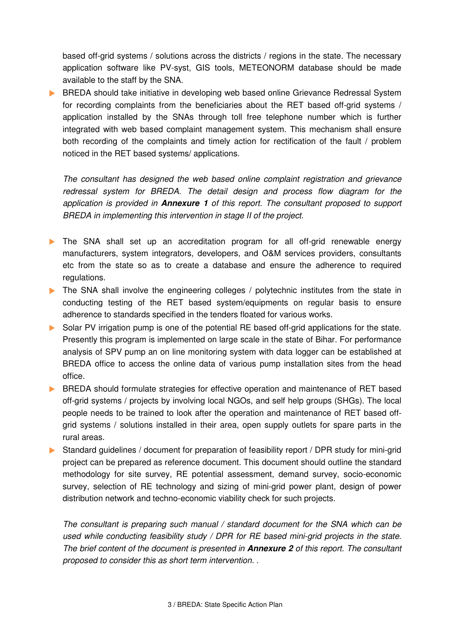based off-grid systems / solutions across the districts / regions in the state. The necessary application software like PV-syst, GIS tools, METEONORM database should be made available to the staff by the SNA.

**BREDA** should take initiative in developing web based online Grievance Redressal System for recording complaints from the beneficiaries about the RET based off-grid systems / application installed by the SNAs through toll free telephone number which is further integrated with web based complaint management system. This mechanism shall ensure both recording of the complaints and timely action for rectification of the fault / problem noticed in the RET based systems/ applications.

The consultant has designed the web based online complaint registration and grievance redressal system for BREDA. The detail design and process flow diagram for the application is provided in **Annexure 1** of this report. The consultant proposed to support BREDA in implementing this intervention in stage II of the project.

- The SNA shall set up an accreditation program for all off-grid renewable energy manufacturers, system integrators, developers, and O&M services providers, consultants etc from the state so as to create a database and ensure the adherence to required regulations.
- The SNA shall involve the engineering colleges / polytechnic institutes from the state in conducting testing of the RET based system/equipments on regular basis to ensure adherence to standards specified in the tenders floated for various works.
- Solar PV irrigation pump is one of the potential RE based off-grid applications for the state. Presently this program is implemented on large scale in the state of Bihar. For performance analysis of SPV pump an on line monitoring system with data logger can be established at BREDA office to access the online data of various pump installation sites from the head office.
- **BREDA** should formulate strategies for effective operation and maintenance of RET based off-grid systems / projects by involving local NGOs, and self help groups (SHGs). The local people needs to be trained to look after the operation and maintenance of RET based offgrid systems / solutions installed in their area, open supply outlets for spare parts in the rural areas.
- Standard guidelines / document for preparation of feasibility report / DPR study for mini-grid project can be prepared as reference document. This document should outline the standard methodology for site survey, RE potential assessment, demand survey, socio-economic survey, selection of RE technology and sizing of mini-grid power plant, design of power distribution network and techno-economic viability check for such projects.

The consultant is preparing such manual / standard document for the SNA which can be used while conducting feasibility study / DPR for RE based mini-grid projects in the state. The brief content of the document is presented in **Annexure 2** of this report. The consultant proposed to consider this as short term intervention. .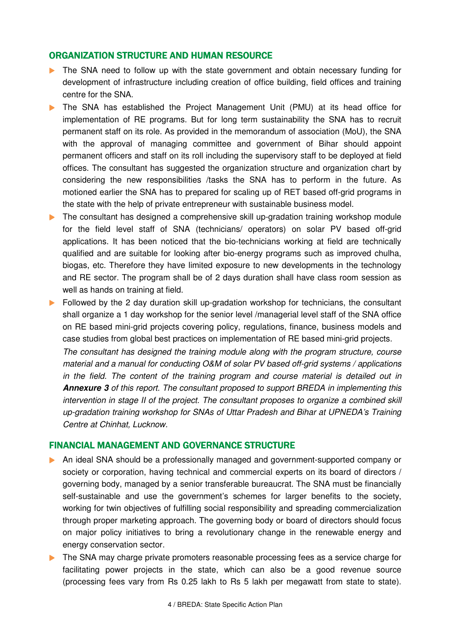### ORGANIZATION STRUCTURE AND HUMAN RESOURCE

- The SNA need to follow up with the state government and obtain necessary funding for development of infrastructure including creation of office building, field offices and training centre for the SNA.
- The SNA has established the Project Management Unit (PMU) at its head office for implementation of RE programs. But for long term sustainability the SNA has to recruit permanent staff on its role. As provided in the memorandum of association (MoU), the SNA with the approval of managing committee and government of Bihar should appoint permanent officers and staff on its roll including the supervisory staff to be deployed at field offices. The consultant has suggested the organization structure and organization chart by considering the new responsibilities /tasks the SNA has to perform in the future. As motioned earlier the SNA has to prepared for scaling up of RET based off-grid programs in the state with the help of private entrepreneur with sustainable business model.
- The consultant has designed a comprehensive skill up-gradation training workshop module for the field level staff of SNA (technicians/ operators) on solar PV based off-grid applications. It has been noticed that the bio-technicians working at field are technically qualified and are suitable for looking after bio-energy programs such as improved chulha, biogas, etc. Therefore they have limited exposure to new developments in the technology and RE sector. The program shall be of 2 days duration shall have class room session as well as hands on training at field.
- **Followed by the 2 day duration skill up-gradation workshop for technicians, the consultant** shall organize a 1 day workshop for the senior level /managerial level staff of the SNA office on RE based mini-grid projects covering policy, regulations, finance, business models and case studies from global best practices on implementation of RE based mini-grid projects. The consultant has designed the training module along with the program structure, course
	- material and a manual for conducting O&M of solar PV based off-grid systems / applications in the field. The content of the training program and course material is detailed out in **Annexure 3** of this report. The consultant proposed to support BREDA in implementing this intervention in stage II of the project. The consultant proposes to organize a combined skill up-gradation training workshop for SNAs of Uttar Pradesh and Bihar at UPNEDA's Training Centre at Chinhat, Lucknow.

#### FINANCIAL MANAGEMENT AND GOVERNANCE STRUCTURE

- An ideal SNA should be a professionally managed and government-supported company or society or corporation, having technical and commercial experts on its board of directors / governing body, managed by a senior transferable bureaucrat. The SNA must be financially self-sustainable and use the government's schemes for larger benefits to the society, working for twin objectives of fulfilling social responsibility and spreading commercialization through proper marketing approach. The governing body or board of directors should focus on major policy initiatives to bring a revolutionary change in the renewable energy and energy conservation sector.
- The SNA may charge private promoters reasonable processing fees as a service charge for facilitating power projects in the state, which can also be a good revenue source (processing fees vary from Rs 0.25 lakh to Rs 5 lakh per megawatt from state to state).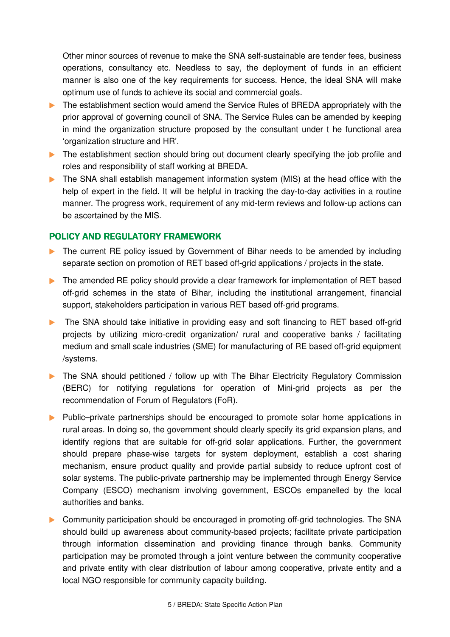Other minor sources of revenue to make the SNA self-sustainable are tender fees, business operations, consultancy etc. Needless to say, the deployment of funds in an efficient manner is also one of the key requirements for success. Hence, the ideal SNA will make optimum use of funds to achieve its social and commercial goals.

- The establishment section would amend the Service Rules of BREDA appropriately with the prior approval of governing council of SNA. The Service Rules can be amended by keeping in mind the organization structure proposed by the consultant under t he functional area 'organization structure and HR'.
- The establishment section should bring out document clearly specifying the job profile and roles and responsibility of staff working at BREDA.
- The SNA shall establish management information system (MIS) at the head office with the help of expert in the field. It will be helpful in tracking the day-to-day activities in a routine manner. The progress work, requirement of any mid-term reviews and follow-up actions can be ascertained by the MIS.

### POLICY AND REGULATORY FRAMEWORK

- The current RE policy issued by Government of Bihar needs to be amended by including separate section on promotion of RET based off-grid applications / projects in the state.
- The amended RE policy should provide a clear framework for implementation of RET based off-grid schemes in the state of Bihar, including the institutional arrangement, financial support, stakeholders participation in various RET based off-grid programs.
- The SNA should take initiative in providing easy and soft financing to RET based off-grid projects by utilizing micro-credit organization/ rural and cooperative banks / facilitating medium and small scale industries (SME) for manufacturing of RE based off-grid equipment /systems.
- The SNA should petitioned / follow up with The Bihar Electricity Regulatory Commission (BERC) for notifying regulations for operation of Mini-grid projects as per the recommendation of Forum of Regulators (FoR).
- Public–private partnerships should be encouraged to promote solar home applications in rural areas. In doing so, the government should clearly specify its grid expansion plans, and identify regions that are suitable for off-grid solar applications. Further, the government should prepare phase-wise targets for system deployment, establish a cost sharing mechanism, ensure product quality and provide partial subsidy to reduce upfront cost of solar systems. The public-private partnership may be implemented through Energy Service Company (ESCO) mechanism involving government, ESCOs empanelled by the local authorities and banks.
- **Community participation should be encouraged in promoting off-grid technologies. The SNA** should build up awareness about community-based projects; facilitate private participation through information dissemination and providing finance through banks. Community participation may be promoted through a joint venture between the community cooperative and private entity with clear distribution of labour among cooperative, private entity and a local NGO responsible for community capacity building.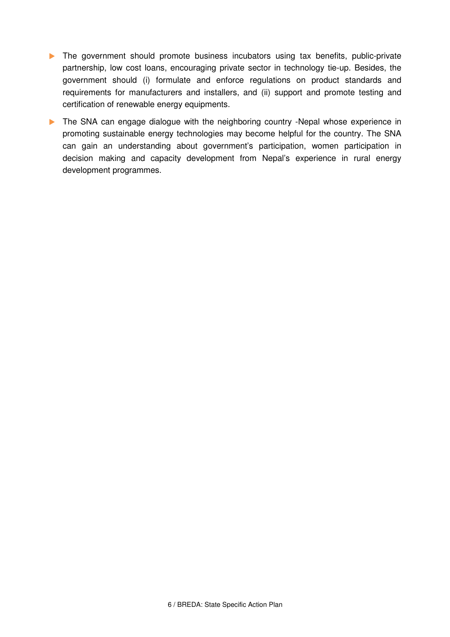- The government should promote business incubators using tax benefits, public-private partnership, low cost loans, encouraging private sector in technology tie-up. Besides, the government should (i) formulate and enforce regulations on product standards and requirements for manufacturers and installers, and (ii) support and promote testing and certification of renewable energy equipments.
- The SNA can engage dialogue with the neighboring country -Nepal whose experience in promoting sustainable energy technologies may become helpful for the country. The SNA can gain an understanding about government's participation, women participation in decision making and capacity development from Nepal's experience in rural energy development programmes.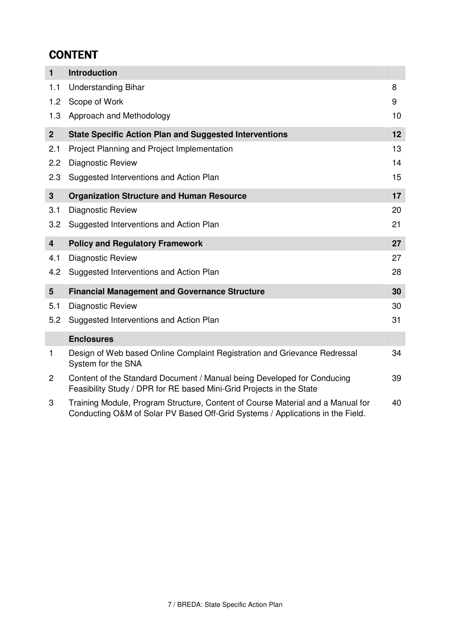# **CONTENT**

| $\mathbf{1}$            | <b>Introduction</b>                                                                                                                                               |    |
|-------------------------|-------------------------------------------------------------------------------------------------------------------------------------------------------------------|----|
| 1.1                     | <b>Understanding Bihar</b>                                                                                                                                        | 8  |
| 1.2                     | Scope of Work                                                                                                                                                     | 9  |
| 1.3                     | Approach and Methodology                                                                                                                                          | 10 |
| 2 <sup>1</sup>          | <b>State Specific Action Plan and Suggested Interventions</b>                                                                                                     | 12 |
| 2.1                     | Project Planning and Project Implementation                                                                                                                       | 13 |
| 2.2                     | Diagnostic Review                                                                                                                                                 | 14 |
| 2.3                     | Suggested Interventions and Action Plan                                                                                                                           | 15 |
| 3                       | <b>Organization Structure and Human Resource</b>                                                                                                                  | 17 |
| 3.1                     | Diagnostic Review                                                                                                                                                 | 20 |
| 3.2                     | Suggested Interventions and Action Plan                                                                                                                           | 21 |
| $\overline{\mathbf{4}}$ | <b>Policy and Regulatory Framework</b>                                                                                                                            | 27 |
| 4.1                     | <b>Diagnostic Review</b>                                                                                                                                          | 27 |
| 4.2                     | Suggested Interventions and Action Plan                                                                                                                           | 28 |
| 5                       | <b>Financial Management and Governance Structure</b>                                                                                                              | 30 |
| 5.1                     | <b>Diagnostic Review</b>                                                                                                                                          | 30 |
| 5.2                     | Suggested Interventions and Action Plan                                                                                                                           | 31 |
|                         | <b>Enclosures</b>                                                                                                                                                 |    |
| $\mathbf{1}$            | Design of Web based Online Complaint Registration and Grievance Redressal<br>System for the SNA                                                                   | 34 |
| $\mathbf{2}$            | Content of the Standard Document / Manual being Developed for Conducing<br>Feasibility Study / DPR for RE based Mini-Grid Projects in the State                   | 39 |
| 3                       | Training Module, Program Structure, Content of Course Material and a Manual for<br>Conducting O&M of Solar PV Based Off-Grid Systems / Applications in the Field. | 40 |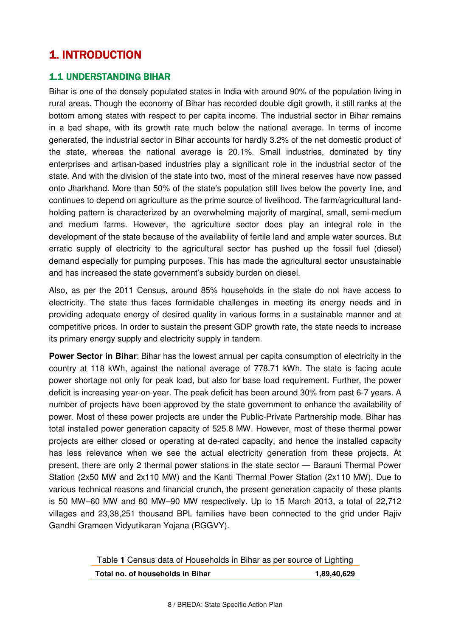# **1. INTRODUCTION**

## 1.1 UNDERSTANDING BIHAR

Bihar is one of the densely populated states in India with around 90% of the population living in rural areas. Though the economy of Bihar has recorded double digit growth, it still ranks at the bottom among states with respect to per capita income. The industrial sector in Bihar remains in a bad shape, with its growth rate much below the national average. In terms of income generated, the industrial sector in Bihar accounts for hardly 3.2% of the net domestic product of the state, whereas the national average is 20.1%. Small industries, dominated by tiny enterprises and artisan-based industries play a significant role in the industrial sector of the state. And with the division of the state into two, most of the mineral reserves have now passed onto Jharkhand. More than 50% of the state's population still lives below the poverty line, and continues to depend on agriculture as the prime source of livelihood. The farm/agricultural landholding pattern is characterized by an overwhelming majority of marginal, small, semi-medium and medium farms. However, the agriculture sector does play an integral role in the development of the state because of the availability of fertile land and ample water sources. But erratic supply of electricity to the agricultural sector has pushed up the fossil fuel (diesel) demand especially for pumping purposes. This has made the agricultural sector unsustainable and has increased the state government's subsidy burden on diesel.

Also, as per the 2011 Census, around 85% households in the state do not have access to electricity. The state thus faces formidable challenges in meeting its energy needs and in providing adequate energy of desired quality in various forms in a sustainable manner and at competitive prices. In order to sustain the present GDP growth rate, the state needs to increase its primary energy supply and electricity supply in tandem.

**Power Sector in Bihar**: Bihar has the lowest annual per capita consumption of electricity in the country at 118 kWh, against the national average of 778.71 kWh. The state is facing acute power shortage not only for peak load, but also for base load requirement. Further, the power deficit is increasing year-on-year. The peak deficit has been around 30% from past 6-7 years. A number of projects have been approved by the state government to enhance the availability of power. Most of these power projects are under the Public-Private Partnership mode. Bihar has total installed power generation capacity of 525.8 MW. However, most of these thermal power projects are either closed or operating at de-rated capacity, and hence the installed capacity has less relevance when we see the actual electricity generation from these projects. At present, there are only 2 thermal power stations in the state sector — Barauni Thermal Power Station (2x50 MW and 2x110 MW) and the Kanti Thermal Power Station (2x110 MW). Due to various technical reasons and financial crunch, the present generation capacity of these plants is 50 MW–60 MW and 80 MW–90 MW respectively. Up to 15 March 2013, a total of 22,712 villages and 23,38,251 thousand BPL families have been connected to the grid under Rajiv Gandhi Grameen Vidyutikaran Yojana (RGGVY).

| Table 1 Census data of Households in Bihar as per source of Lighting |             |
|----------------------------------------------------------------------|-------------|
| Total no. of households in Bihar                                     | 1,89,40,629 |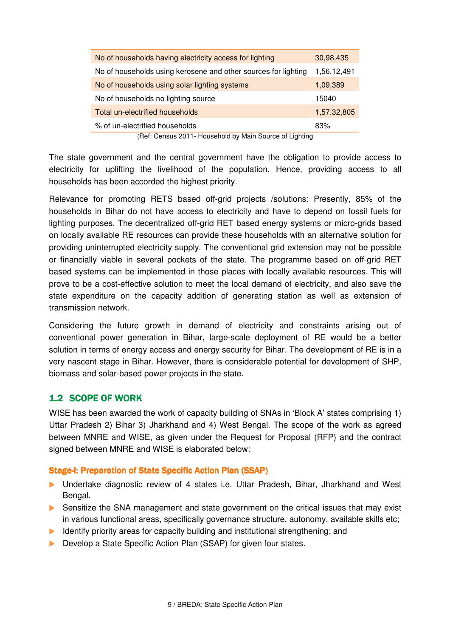| 30,98,435   |
|-------------|
| 1,56,12,491 |
| 1,09,389    |
| 15040       |
| 1,57,32,805 |
| 83%         |
|             |

(Ref: Census 2011- Household by Main Source of Lighting

The state government and the central government have the obligation to provide access to electricity for uplifting the livelihood of the population. Hence, providing access to all households has been accorded the highest priority.

Relevance for promoting RETS based off-grid projects /solutions: Presently, 85% of the households in Bihar do not have access to electricity and have to depend on fossil fuels for lighting purposes. The decentralized off-grid RET based energy systems or micro-grids based on locally available RE resources can provide these households with an alternative solution for providing uninterrupted electricity supply. The conventional grid extension may not be possible or financially viable in several pockets of the state. The programme based on off-grid RET based systems can be implemented in those places with locally available resources. This will prove to be a cost-effective solution to meet the local demand of electricity, and also save the state expenditure on the capacity addition of generating station as well as extension of transmission network.

Considering the future growth in demand of electricity and constraints arising out of conventional power generation in Bihar, large-scale deployment of RE would be a better solution in terms of energy access and energy security for Bihar. The development of RE is in a very nascent stage in Bihar. However, there is considerable potential for development of SHP, biomass and solar-based power projects in the state.

### 1.2 SCOPE OF WORK

WISE has been awarded the work of capacity building of SNAs in 'Block A' states comprising 1) Uttar Pradesh 2) Bihar 3) Jharkhand and 4) West Bengal. The scope of the work as agreed between MNRE and WISE, as given under the Request for Proposal (RFP) and the contract signed between MNRE and WISE is elaborated below:

#### Stage-I: Preparation of State Specific Action Plan (SSAP)

- Undertake diagnostic review of 4 states i.e. Uttar Pradesh, Bihar, Jharkhand and West Bengal.
- ▶ Sensitize the SNA management and state government on the critical issues that may exist in various functional areas, specifically governance structure, autonomy, available skills etc;
- Identify priority areas for capacity building and institutional strengthening; and
- Develop a State Specific Action Plan (SSAP) for given four states.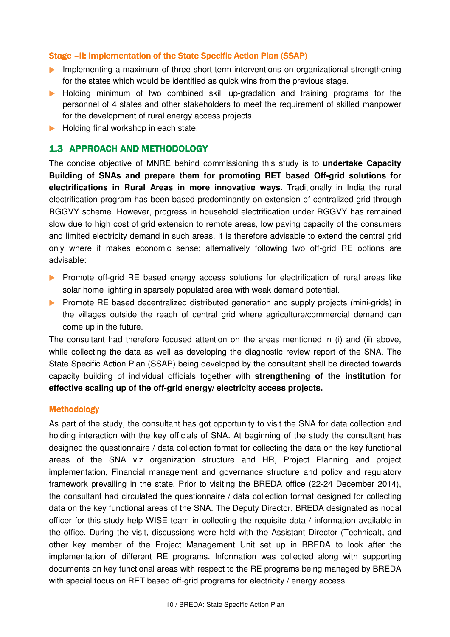### Stage – II: Implementation of the State Specific Action Plan (SSAP)

- **Implementing a maximum of three short term interventions on organizational strengthening** for the states which would be identified as quick wins from the previous stage.
- Holding minimum of two combined skill up-gradation and training programs for the personnel of 4 states and other stakeholders to meet the requirement of skilled manpower for the development of rural energy access projects.
- Holding final workshop in each state.

### 1.3 APPROACH AND METHODOLOGY

The concise objective of MNRE behind commissioning this study is to **undertake Capacity Building of SNAs and prepare them for promoting RET based Off-grid solutions for electrifications in Rural Areas in more innovative ways.** Traditionally in India the rural electrification program has been based predominantly on extension of centralized grid through RGGVY scheme. However, progress in household electrification under RGGVY has remained slow due to high cost of grid extension to remote areas, low paying capacity of the consumers and limited electricity demand in such areas. It is therefore advisable to extend the central grid only where it makes economic sense; alternatively following two off-grid RE options are advisable:

- **Promote off-grid RE based energy access solutions for electrification of rural areas like** solar home lighting in sparsely populated area with weak demand potential.
- **Promote RE based decentralized distributed generation and supply projects (mini-grids) in** the villages outside the reach of central grid where agriculture/commercial demand can come up in the future.

The consultant had therefore focused attention on the areas mentioned in (i) and (ii) above, while collecting the data as well as developing the diagnostic review report of the SNA. The State Specific Action Plan (SSAP) being developed by the consultant shall be directed towards capacity building of individual officials together with **strengthening of the institution for effective scaling up of the off-grid energy/ electricity access projects.**

#### Methodology

As part of the study, the consultant has got opportunity to visit the SNA for data collection and holding interaction with the key officials of SNA. At beginning of the study the consultant has designed the questionnaire / data collection format for collecting the data on the key functional areas of the SNA viz organization structure and HR, Project Planning and project implementation, Financial management and governance structure and policy and regulatory framework prevailing in the state. Prior to visiting the BREDA office (22-24 December 2014), the consultant had circulated the questionnaire / data collection format designed for collecting data on the key functional areas of the SNA. The Deputy Director, BREDA designated as nodal officer for this study help WISE team in collecting the requisite data / information available in the office. During the visit, discussions were held with the Assistant Director (Technical), and other key member of the Project Management Unit set up in BREDA to look after the implementation of different RE programs. Information was collected along with supporting documents on key functional areas with respect to the RE programs being managed by BREDA with special focus on RET based off-grid programs for electricity / energy access.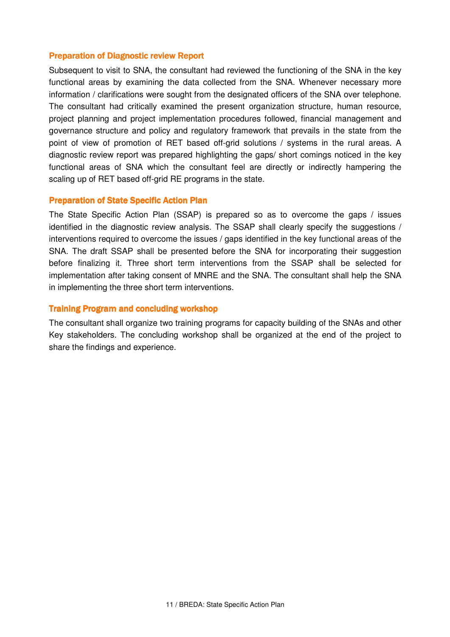#### **Preparation of Diagnostic review Report**

Subsequent to visit to SNA, the consultant had reviewed the functioning of the SNA in the key functional areas by examining the data collected from the SNA. Whenever necessary more information / clarifications were sought from the designated officers of the SNA over telephone. The consultant had critically examined the present organization structure, human resource, project planning and project implementation procedures followed, financial management and governance structure and policy and regulatory framework that prevails in the state from the point of view of promotion of RET based off-grid solutions / systems in the rural areas. A diagnostic review report was prepared highlighting the gaps/ short comings noticed in the key functional areas of SNA which the consultant feel are directly or indirectly hampering the scaling up of RET based off-grid RE programs in the state.

#### Preparation of State Specific Action Plan

The State Specific Action Plan (SSAP) is prepared so as to overcome the gaps / issues identified in the diagnostic review analysis. The SSAP shall clearly specify the suggestions / interventions required to overcome the issues / gaps identified in the key functional areas of the SNA. The draft SSAP shall be presented before the SNA for incorporating their suggestion before finalizing it. Three short term interventions from the SSAP shall be selected for implementation after taking consent of MNRE and the SNA. The consultant shall help the SNA in implementing the three short term interventions.

#### Training Program and concluding workshop

The consultant shall organize two training programs for capacity building of the SNAs and other Key stakeholders. The concluding workshop shall be organized at the end of the project to share the findings and experience.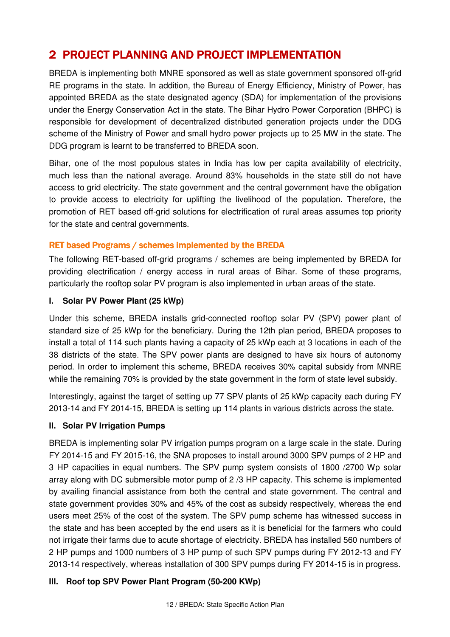# 2 PROJECT PLANNING AND PROJECT IMPLEMENTATION

BREDA is implementing both MNRE sponsored as well as state government sponsored off-grid RE programs in the state. In addition, the Bureau of Energy Efficiency, Ministry of Power, has appointed BREDA as the state designated agency (SDA) for implementation of the provisions under the Energy Conservation Act in the state. The Bihar Hydro Power Corporation (BHPC) is responsible for development of decentralized distributed generation projects under the DDG scheme of the Ministry of Power and small hydro power projects up to 25 MW in the state. The DDG program is learnt to be transferred to BREDA soon.

Bihar, one of the most populous states in India has low per capita availability of electricity, much less than the national average. Around 83% households in the state still do not have access to grid electricity. The state government and the central government have the obligation to provide access to electricity for uplifting the livelihood of the population. Therefore, the promotion of RET based off-grid solutions for electrification of rural areas assumes top priority for the state and central governments.

### RET based Programs / schemes implemented by the BREDA

The following RET-based off-grid programs / schemes are being implemented by BREDA for providing electrification / energy access in rural areas of Bihar. Some of these programs, particularly the rooftop solar PV program is also implemented in urban areas of the state.

### **I. Solar PV Power Plant (25 kWp)**

Under this scheme, BREDA installs grid-connected rooftop solar PV (SPV) power plant of standard size of 25 kWp for the beneficiary. During the 12th plan period, BREDA proposes to install a total of 114 such plants having a capacity of 25 kWp each at 3 locations in each of the 38 districts of the state. The SPV power plants are designed to have six hours of autonomy period. In order to implement this scheme, BREDA receives 30% capital subsidy from MNRE while the remaining 70% is provided by the state government in the form of state level subsidy.

Interestingly, against the target of setting up 77 SPV plants of 25 kWp capacity each during FY 2013-14 and FY 2014-15, BREDA is setting up 114 plants in various districts across the state.

### **II. Solar PV Irrigation Pumps**

BREDA is implementing solar PV irrigation pumps program on a large scale in the state. During FY 2014-15 and FY 2015-16, the SNA proposes to install around 3000 SPV pumps of 2 HP and 3 HP capacities in equal numbers. The SPV pump system consists of 1800 /2700 Wp solar array along with DC submersible motor pump of 2 /3 HP capacity. This scheme is implemented by availing financial assistance from both the central and state government. The central and state government provides 30% and 45% of the cost as subsidy respectively, whereas the end users meet 25% of the cost of the system. The SPV pump scheme has witnessed success in the state and has been accepted by the end users as it is beneficial for the farmers who could not irrigate their farms due to acute shortage of electricity. BREDA has installed 560 numbers of 2 HP pumps and 1000 numbers of 3 HP pump of such SPV pumps during FY 2012-13 and FY 2013-14 respectively, whereas installation of 300 SPV pumps during FY 2014-15 is in progress.

## **III. Roof top SPV Power Plant Program (50-200 KWp)**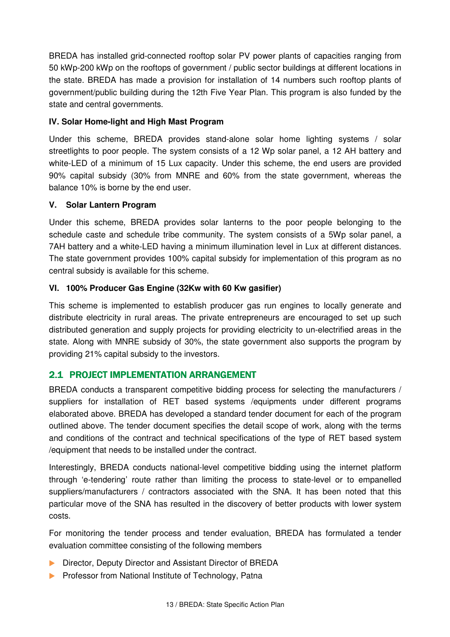BREDA has installed grid-connected rooftop solar PV power plants of capacities ranging from 50 kWp-200 kWp on the rooftops of government / public sector buildings at different locations in the state. BREDA has made a provision for installation of 14 numbers such rooftop plants of government/public building during the 12th Five Year Plan. This program is also funded by the state and central governments.

### **IV. Solar Home-light and High Mast Program**

Under this scheme, BREDA provides stand-alone solar home lighting systems / solar streetlights to poor people. The system consists of a 12 Wp solar panel, a 12 AH battery and white-LED of a minimum of 15 Lux capacity. Under this scheme, the end users are provided 90% capital subsidy (30% from MNRE and 60% from the state government, whereas the balance 10% is borne by the end user.

### **V. Solar Lantern Program**

Under this scheme, BREDA provides solar lanterns to the poor people belonging to the schedule caste and schedule tribe community. The system consists of a 5Wp solar panel, a 7AH battery and a white-LED having a minimum illumination level in Lux at different distances. The state government provides 100% capital subsidy for implementation of this program as no central subsidy is available for this scheme.

### **VI. 100% Producer Gas Engine (32Kw with 60 Kw gasifier)**

This scheme is implemented to establish producer gas run engines to locally generate and distribute electricity in rural areas. The private entrepreneurs are encouraged to set up such distributed generation and supply projects for providing electricity to un-electrified areas in the state. Along with MNRE subsidy of 30%, the state government also supports the program by providing 21% capital subsidy to the investors.

## 2.1 PROJECT IMPLEMENTATION ARRANGEMENT

BREDA conducts a transparent competitive bidding process for selecting the manufacturers / suppliers for installation of RET based systems /equipments under different programs elaborated above. BREDA has developed a standard tender document for each of the program outlined above. The tender document specifies the detail scope of work, along with the terms and conditions of the contract and technical specifications of the type of RET based system /equipment that needs to be installed under the contract.

Interestingly, BREDA conducts national-level competitive bidding using the internet platform through 'e-tendering' route rather than limiting the process to state-level or to empanelled suppliers/manufacturers / contractors associated with the SNA. It has been noted that this particular move of the SNA has resulted in the discovery of better products with lower system costs.

For monitoring the tender process and tender evaluation, BREDA has formulated a tender evaluation committee consisting of the following members

- Director, Deputy Director and Assistant Director of BREDA
- **Professor from National Institute of Technology, Patnal**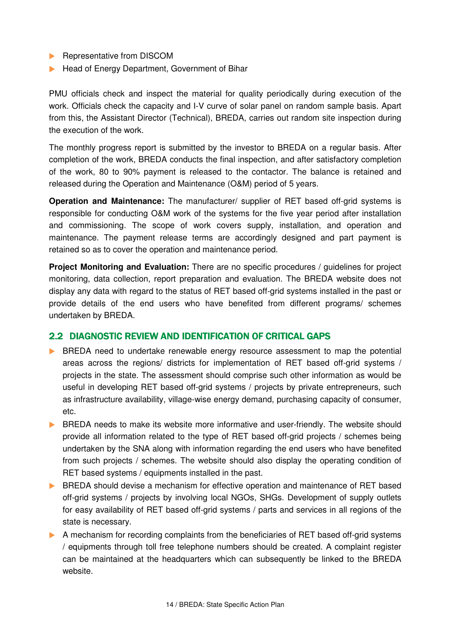- **Representative from DISCOM**
- Head of Energy Department, Government of Bihar

PMU officials check and inspect the material for quality periodically during execution of the work. Officials check the capacity and I-V curve of solar panel on random sample basis. Apart from this, the Assistant Director (Technical), BREDA, carries out random site inspection during the execution of the work.

The monthly progress report is submitted by the investor to BREDA on a regular basis. After completion of the work, BREDA conducts the final inspection, and after satisfactory completion of the work, 80 to 90% payment is released to the contactor. The balance is retained and released during the Operation and Maintenance (O&M) period of 5 years.

**Operation and Maintenance:** The manufacturer/ supplier of RET based off-grid systems is responsible for conducting O&M work of the systems for the five year period after installation and commissioning. The scope of work covers supply, installation, and operation and maintenance. The payment release terms are accordingly designed and part payment is retained so as to cover the operation and maintenance period.

**Project Monitoring and Evaluation:** There are no specific procedures / guidelines for project monitoring, data collection, report preparation and evaluation. The BREDA website does not display any data with regard to the status of RET based off-grid systems installed in the past or provide details of the end users who have benefited from different programs/ schemes undertaken by BREDA.

## 2.2 DIAGNOSTIC REVIEW AND IDENTIFICATION OF CRITICAL GAPS

- BREDA need to undertake renewable energy resource assessment to map the potential areas across the regions/ districts for implementation of RET based off-grid systems / projects in the state. The assessment should comprise such other information as would be useful in developing RET based off-grid systems / projects by private entrepreneurs, such as infrastructure availability, village-wise energy demand, purchasing capacity of consumer, etc.
- **BREDA** needs to make its website more informative and user-friendly. The website should provide all information related to the type of RET based off-grid projects / schemes being undertaken by the SNA along with information regarding the end users who have benefited from such projects / schemes. The website should also display the operating condition of RET based systems / equipments installed in the past.
- BREDA should devise a mechanism for effective operation and maintenance of RET based off-grid systems / projects by involving local NGOs, SHGs. Development of supply outlets for easy availability of RET based off-grid systems / parts and services in all regions of the state is necessary.
- A mechanism for recording complaints from the beneficiaries of RET based off-grid systems / equipments through toll free telephone numbers should be created. A complaint register can be maintained at the headquarters which can subsequently be linked to the BREDA website.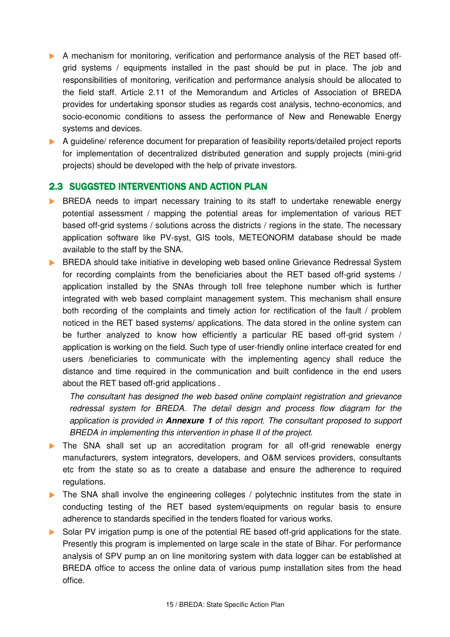- A mechanism for monitoring, verification and performance analysis of the RET based offgrid systems / equipments installed in the past should be put in place. The job and responsibilities of monitoring, verification and performance analysis should be allocated to the field staff. Article 2.11 of the Memorandum and Articles of Association of BREDA provides for undertaking sponsor studies as regards cost analysis, techno-economics, and socio-economic conditions to assess the performance of New and Renewable Energy systems and devices.
- A guideline/ reference document for preparation of feasibility reports/detailed project reports for implementation of decentralized distributed generation and supply projects (mini-grid projects) should be developed with the help of private investors.

## 2.3 SUGGSTED INTERVENTIONS AND ACTION PLAN

- **BREDA** needs to impart necessary training to its staff to undertake renewable energy potential assessment / mapping the potential areas for implementation of various RET based off-grid systems / solutions across the districts / regions in the state. The necessary application software like PV-syst, GIS tools, METEONORM database should be made available to the staff by the SNA.
- **BREDA** should take initiative in developing web based online Grievance Redressal System for recording complaints from the beneficiaries about the RET based off-grid systems / application installed by the SNAs through toll free telephone number which is further integrated with web based complaint management system. This mechanism shall ensure both recording of the complaints and timely action for rectification of the fault / problem noticed in the RET based systems/ applications. The data stored in the online system can be further analyzed to know how efficiently a particular RE based off-grid system / application is working on the field. Such type of user-friendly online interface created for end users /beneficiaries to communicate with the implementing agency shall reduce the distance and time required in the communication and built confidence in the end users about the RET based off-grid applications .

The consultant has designed the web based online complaint registration and grievance redressal system for BREDA. The detail design and process flow diagram for the application is provided in **Annexure 1** of this report. The consultant proposed to support BREDA in implementing this intervention in phase II of the project.

- The SNA shall set up an accreditation program for all off-grid renewable energy manufacturers, system integrators, developers, and O&M services providers, consultants etc from the state so as to create a database and ensure the adherence to required regulations.
- The SNA shall involve the engineering colleges / polytechnic institutes from the state in conducting testing of the RET based system/equipments on regular basis to ensure adherence to standards specified in the tenders floated for various works.
- Solar PV irrigation pump is one of the potential RE based off-grid applications for the state. Presently this program is implemented on large scale in the state of Bihar. For performance analysis of SPV pump an on line monitoring system with data logger can be established at BREDA office to access the online data of various pump installation sites from the head office.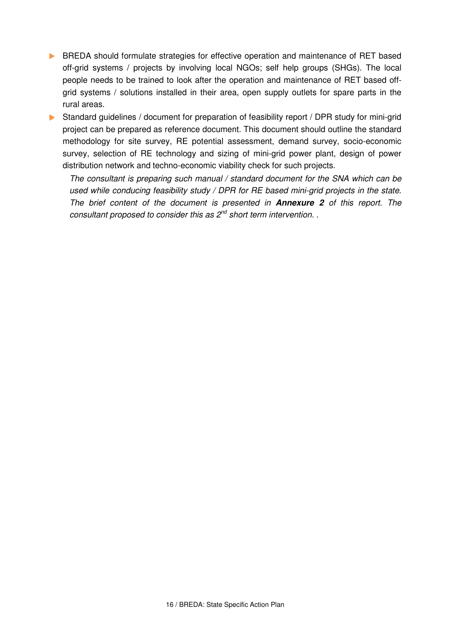**BREDA** should formulate strategies for effective operation and maintenance of RET based off-grid systems / projects by involving local NGOs; self help groups (SHGs). The local people needs to be trained to look after the operation and maintenance of RET based offgrid systems / solutions installed in their area, open supply outlets for spare parts in the rural areas.

Standard guidelines / document for preparation of feasibility report / DPR study for mini-grid project can be prepared as reference document. This document should outline the standard methodology for site survey, RE potential assessment, demand survey, socio-economic survey, selection of RE technology and sizing of mini-grid power plant, design of power distribution network and techno-economic viability check for such projects.

The consultant is preparing such manual / standard document for the SNA which can be used while conducing feasibility study / DPR for RE based mini-grid projects in the state. The brief content of the document is presented in **Annexure 2** of this report. The consultant proposed to consider this as  $2^{nd}$  short term intervention.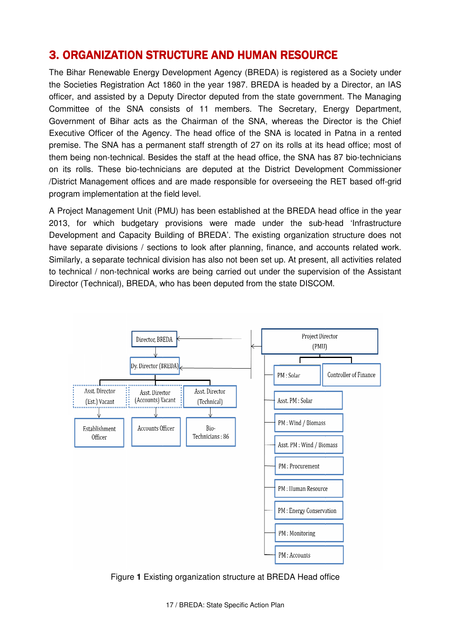# **3. ORGANIZATION STRUCTURE AND HUMAN RESOURC**

The Bihar Renewable Energy Development Agency (BREDA) is registered as a Society under the Societies Registration Act 1860 in the year 1987. BREDA is headed by a Director, an IAS officer, and assisted by a Deputy Director deputed from the state government. The Managing Committee of the SNA consists of 11 members. The Secretary, Energy Depart Department, Government of Bihar acts as the Chairman of the SNA, whereas the Director is the Chief Executive Officer of the Agency. The head office of the SNA is located in Patna in a rented premise. The SNA has a permanent staff strength of 27 on its rolls at its head office; most of premise. The SNA has a permanent staff strength of 27 on its rolls at its head office; most of<br>them being non-technical. Besides the staff at the head office, the SNA has 87 bio-technicians on its rolls. These bio-technicians are deputed at the District Development Commissioner /District Management offices and are made responsible for overseeing the RET based off-grid program implementation at the field level. technical. Besides the staff at the head office, the SNA has 87 bio-technic<br>ese bio-technicians are deputed at the District Development Commissi<br>ment offices and are made responsible for overseeing the RET based off **ITION STRUCTURE AND HUMAN RESOURCE**<br>the Energy Development Agency (BREDA) is registered as<br>stration Act 1860 in the year 1987. BREDA is headed by a<br>ed by a Deputy Director deputed from the state governmen<br>e SNA consists o

A Project Management Unit (PMU) has been established at the BREDA head office in the year 2013, for which budgetary provisions were made under the sub-head 'Infrastructure Development and Capacity Building of BREDA'. The existing organization structure does not have separate divisions / sections to look after planning, finance, and accounts related work. Similarly, a separate technical division has also not been set up. At present, all activities related to technical / non-technical works are being carried out under the supervision of the Assistant Director (Technical), BREDA, who has been deputed from the state DISCOM.



Figure **1** Existing organization structure at BREDA Head office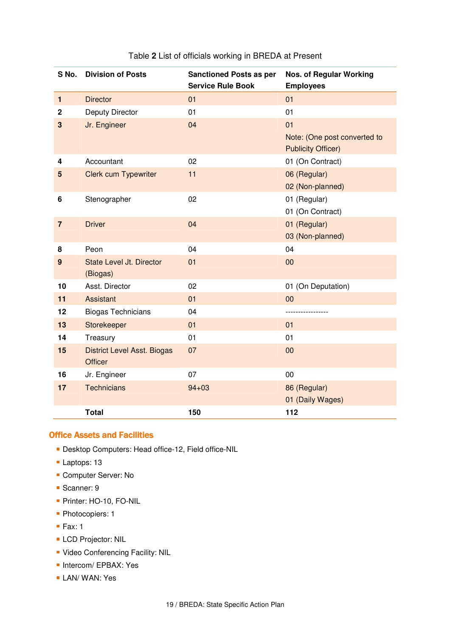| S No.            | <b>Division of Posts</b>             | <b>Sanctioned Posts as per</b><br><b>Service Rule Book</b> | <b>Nos. of Regular Working</b><br><b>Employees</b> |
|------------------|--------------------------------------|------------------------------------------------------------|----------------------------------------------------|
| $\mathbf{1}$     | <b>Director</b>                      | 01                                                         | 01                                                 |
| $\mathbf 2$      | Deputy Director                      | 01                                                         | 01                                                 |
| $\mathbf{3}$     | Jr. Engineer                         | 04                                                         | 01                                                 |
|                  |                                      |                                                            | Note: (One post converted to                       |
|                  |                                      |                                                            | <b>Publicity Officer)</b>                          |
| 4                | Accountant                           | 02                                                         | 01 (On Contract)                                   |
| 5                | <b>Clerk cum Typewriter</b>          | 11                                                         | 06 (Regular)                                       |
|                  |                                      |                                                            | 02 (Non-planned)                                   |
| 6                | Stenographer                         | 02                                                         | 01 (Regular)                                       |
|                  |                                      |                                                            | 01 (On Contract)                                   |
| $\overline{7}$   | <b>Driver</b>                        | 04                                                         | 01 (Regular)                                       |
|                  |                                      |                                                            | 03 (Non-planned)                                   |
| 8                | Peon                                 | 04                                                         | 04                                                 |
| $\boldsymbol{9}$ | State Level Jt. Director<br>(Biogas) | 01                                                         | 00                                                 |
| 10               | Asst. Director                       | 02                                                         | 01 (On Deputation)                                 |
| 11               | <b>Assistant</b>                     | 01                                                         | 00                                                 |
| 12               | <b>Biogas Technicians</b>            | 04                                                         | ----------------                                   |
| 13               | Storekeeper                          | 01                                                         | 01                                                 |
| 14               | Treasury                             | 01                                                         | 01                                                 |
| 15               | <b>District Level Asst. Biogas</b>   | 07                                                         | 00                                                 |
|                  | <b>Officer</b>                       |                                                            |                                                    |
| 16               | Jr. Engineer                         | 07                                                         | 00                                                 |
| 17               | <b>Technicians</b>                   | $94 + 03$                                                  | 86 (Regular)                                       |
|                  |                                      |                                                            | 01 (Daily Wages)                                   |
|                  | <b>Total</b>                         | 150                                                        | 112                                                |

#### Table **2** List of officials working in BREDA at Present

#### Office Assets and Facilities

- Desktop Computers: Head office-12, Field office-NIL
- Laptops: 13
- **Computer Server: No**
- Scanner: 9
- **Printer: HO-10, FO-NIL**
- Photocopiers: 1
- $\blacksquare$  Fax: 1
- **LCD Projector: NIL**
- Video Conferencing Facility: NIL
- **Intercom/ EPBAX: Yes**
- **LAN/ WAN: Yes**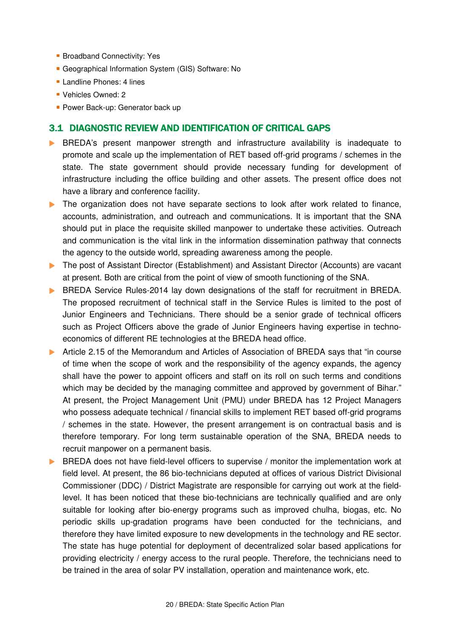- **Broadband Connectivity: Yes**
- Geographical Information System (GIS) Software: No
- **Landline Phones: 4 lines**
- **Vehicles Owned: 2**
- **Power Back-up: Generator back up**

### 3.1 DIAGNOSTIC REVIEW AND IDENTIFICATION OF CRITICAL GAPS

- **BREDA's** present manpower strength and infrastructure availability is inadequate to promote and scale up the implementation of RET based off-grid programs / schemes in the state. The state government should provide necessary funding for development of infrastructure including the office building and other assets. The present office does not have a library and conference facility.
- The organization does not have separate sections to look after work related to finance, accounts, administration, and outreach and communications. It is important that the SNA should put in place the requisite skilled manpower to undertake these activities. Outreach and communication is the vital link in the information dissemination pathway that connects the agency to the outside world, spreading awareness among the people.
- ▶ The post of Assistant Director (Establishment) and Assistant Director (Accounts) are vacant at present. Both are critical from the point of view of smooth functioning of the SNA.
- **BREDA Service Rules-2014 lay down designations of the staff for recruitment in BREDA.** The proposed recruitment of technical staff in the Service Rules is limited to the post of Junior Engineers and Technicians. There should be a senior grade of technical officers such as Project Officers above the grade of Junior Engineers having expertise in technoeconomics of different RE technologies at the BREDA head office.
- Article 2.15 of the Memorandum and Articles of Association of BREDA says that "in course" of time when the scope of work and the responsibility of the agency expands, the agency shall have the power to appoint officers and staff on its roll on such terms and conditions which may be decided by the managing committee and approved by government of Bihar." At present, the Project Management Unit (PMU) under BREDA has 12 Project Managers who possess adequate technical / financial skills to implement RET based off-grid programs / schemes in the state. However, the present arrangement is on contractual basis and is therefore temporary. For long term sustainable operation of the SNA, BREDA needs to recruit manpower on a permanent basis.
- **BREDA** does not have field-level officers to supervise / monitor the implementation work at field level. At present, the 86 bio-technicians deputed at offices of various District Divisional Commissioner (DDC) / District Magistrate are responsible for carrying out work at the fieldlevel. It has been noticed that these bio-technicians are technically qualified and are only suitable for looking after bio-energy programs such as improved chulha, biogas, etc. No periodic skills up-gradation programs have been conducted for the technicians, and therefore they have limited exposure to new developments in the technology and RE sector. The state has huge potential for deployment of decentralized solar based applications for providing electricity / energy access to the rural people. Therefore, the technicians need to be trained in the area of solar PV installation, operation and maintenance work, etc.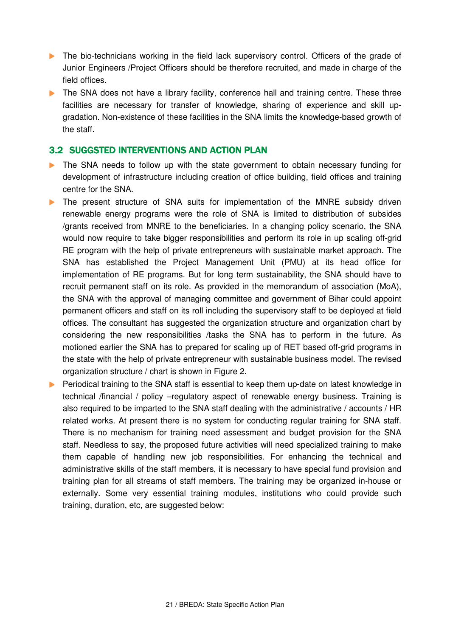- The bio-technicians working in the field lack supervisory control. Officers of the grade of Junior Engineers /Project Officers should be therefore recruited, and made in charge of the field offices.
- **The SNA does not have a library facility, conference hall and training centre. These three** facilities are necessary for transfer of knowledge, sharing of experience and skill upgradation. Non-existence of these facilities in the SNA limits the knowledge-based growth of the staff.

### 3.2 SUGGSTED INTERVENTIONS AND ACTION PLAN

- The SNA needs to follow up with the state government to obtain necessary funding for development of infrastructure including creation of office building, field offices and training centre for the SNA.
- The present structure of SNA suits for implementation of the MNRE subsidy driven renewable energy programs were the role of SNA is limited to distribution of subsides /grants received from MNRE to the beneficiaries. In a changing policy scenario, the SNA would now require to take bigger responsibilities and perform its role in up scaling off-grid RE program with the help of private entrepreneurs with sustainable market approach. The SNA has established the Project Management Unit (PMU) at its head office for implementation of RE programs. But for long term sustainability, the SNA should have to recruit permanent staff on its role. As provided in the memorandum of association (MoA), the SNA with the approval of managing committee and government of Bihar could appoint permanent officers and staff on its roll including the supervisory staff to be deployed at field offices. The consultant has suggested the organization structure and organization chart by considering the new responsibilities /tasks the SNA has to perform in the future. As motioned earlier the SNA has to prepared for scaling up of RET based off-grid programs in the state with the help of private entrepreneur with sustainable business model. The revised organization structure / chart is shown in Figure 2.
- Periodical training to the SNA staff is essential to keep them up-date on latest knowledge in technical /financial / policy –regulatory aspect of renewable energy business. Training is also required to be imparted to the SNA staff dealing with the administrative / accounts / HR related works. At present there is no system for conducting regular training for SNA staff. There is no mechanism for training need assessment and budget provision for the SNA staff. Needless to say, the proposed future activities will need specialized training to make them capable of handling new job responsibilities. For enhancing the technical and administrative skills of the staff members, it is necessary to have special fund provision and training plan for all streams of staff members. The training may be organized in-house or externally. Some very essential training modules, institutions who could provide such training, duration, etc, are suggested below: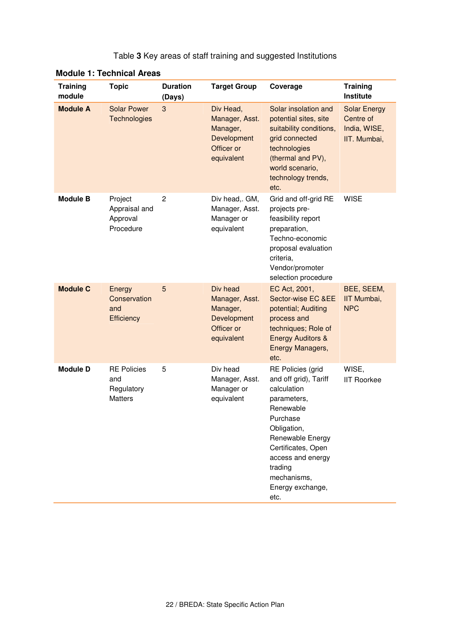| <b>Training</b><br>module | <b>Topic</b>                                              | <b>Duration</b><br>(Days) | <b>Target Group</b>                                                                | Coverage                                                                                                                                                                                                                              | <b>Training</b><br>Institute                                     |
|---------------------------|-----------------------------------------------------------|---------------------------|------------------------------------------------------------------------------------|---------------------------------------------------------------------------------------------------------------------------------------------------------------------------------------------------------------------------------------|------------------------------------------------------------------|
| <b>Module A</b>           | <b>Solar Power</b><br><b>Technologies</b>                 | 3                         | Div Head,<br>Manager, Asst.<br>Manager,<br>Development<br>Officer or<br>equivalent | Solar insolation and<br>potential sites, site<br>suitability conditions,<br>grid connected<br>technologies<br>(thermal and PV),<br>world scenario,<br>technology trends,<br>etc.                                                      | <b>Solar Energy</b><br>Centre of<br>India, WISE,<br>IIT. Mumbai, |
| <b>Module B</b>           | Project<br>Appraisal and<br>Approval<br>Procedure         | $\overline{c}$            | Div head,. GM,<br>Manager, Asst.<br>Manager or<br>equivalent                       | Grid and off-grid RE<br>projects pre-<br>feasibility report<br>preparation,<br>Techno-economic<br>proposal evaluation<br>criteria,<br>Vendor/promoter<br>selection procedure                                                          | <b>WISE</b>                                                      |
| <b>Module C</b>           | Energy<br>Conservation<br>and<br>Efficiency               | 5                         | Div head<br>Manager, Asst.<br>Manager,<br>Development<br>Officer or<br>equivalent  | EC Act, 2001,<br>Sector-wise EC &EE<br>potential; Auditing<br>process and<br>techniques; Role of<br><b>Energy Auditors &amp;</b><br>Energy Managers,<br>etc.                                                                          | BEE, SEEM,<br>IIT Mumbai,<br><b>NPC</b>                          |
| <b>Module D</b>           | <b>RE Policies</b><br>and<br>Regulatory<br><b>Matters</b> | 5                         | Div head<br>Manager, Asst.<br>Manager or<br>equivalent                             | RE Policies (grid<br>and off grid), Tariff<br>calculation<br>parameters,<br>Renewable<br>Purchase<br>Obligation,<br>Renewable Energy<br>Certificates, Open<br>access and energy<br>trading<br>mechanisms,<br>Energy exchange,<br>etc. | WISE,<br><b>IIT Roorkee</b>                                      |

#### **Module 1: Technical Areas**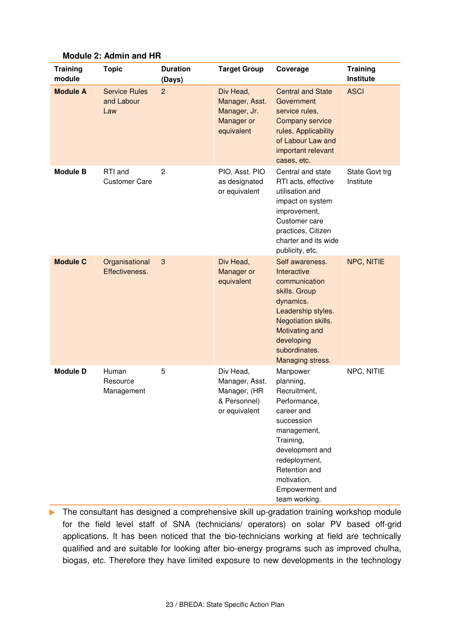| <b>Training</b><br>module | <b>Topic</b>                              | <b>Duration</b><br>(Days) | <b>Target Group</b>                                                          | Coverage                                                                                                                                                                                                              | <b>Training</b><br>Institute |
|---------------------------|-------------------------------------------|---------------------------|------------------------------------------------------------------------------|-----------------------------------------------------------------------------------------------------------------------------------------------------------------------------------------------------------------------|------------------------------|
| <b>Module A</b>           | <b>Service Rules</b><br>and Labour<br>Law | $\overline{c}$            | Div Head,<br>Manager, Asst.<br>Manager, Jr.<br>Manager or<br>equivalent      | <b>Central and State</b><br>Government<br>service rules,<br>Company service<br>rules, Applicability<br>of Labour Law and<br>important relevant<br>cases, etc.                                                         | <b>ASCI</b>                  |
| <b>Module B</b>           | RTI and<br><b>Customer Care</b>           | $\overline{c}$            | PIO, Asst. PIO<br>as designated<br>or equivalent                             | Central and state<br>RTI acts, effective<br>utilisation and<br>impact on system<br>improvement,<br>Customer care<br>practices, Citizen<br>charter and its wide<br>publicity, etc.                                     | State Govt trg<br>Institute  |
| <b>Module C</b>           | Organisational<br>Effectiveness.          | $\sqrt{3}$                | Div Head,<br>Manager or<br>equivalent                                        | Self awareness.<br>Interactive<br>communication<br>skills. Group<br>dynamics.<br>Leadership styles.<br>Negotiation skills.<br>Motivating and<br>developing<br>subordinates.<br>Managing stress.                       | NPC, NITIE                   |
| <b>Module D</b>           | Human<br>Resource<br>Management           | 5                         | Div Head,<br>Manager, Asst.<br>Manager, (HR<br>& Personnel)<br>or equivalent | Manpower<br>planning,<br>Recruitment,<br>Performance,<br>career and<br>succession<br>management,<br>Training,<br>development and<br>redeployment,<br>Retention and<br>motivation,<br>Empowerment and<br>team working. | NPC, NITIE                   |

**Module 2: Admin and HR** 

The consultant has designed a comprehensive skill up-gradation training workshop module for the field level staff of SNA (technicians/ operators) on solar PV based off-grid applications. It has been noticed that the bio-technicians working at field are technically qualified and are suitable for looking after bio-energy programs such as improved chulha, biogas, etc. Therefore they have limited exposure to new developments in the technology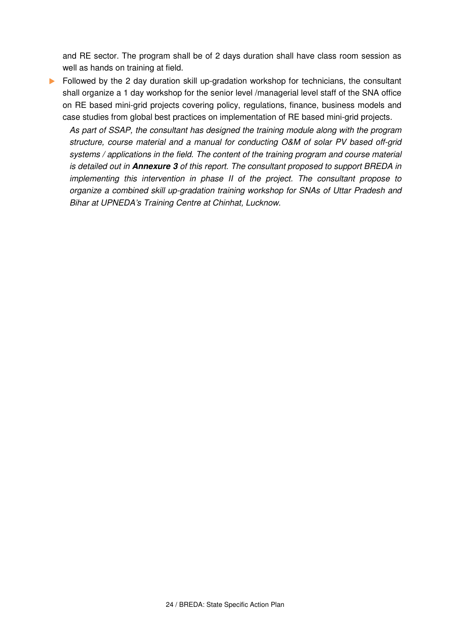and RE sector. The program shall be of 2 days duration shall have class room session as well as hands on training at field.

**Followed by the 2 day duration skill up-gradation workshop for technicians, the consultant** shall organize a 1 day workshop for the senior level /managerial level staff of the SNA office on RE based mini-grid projects covering policy, regulations, finance, business models and case studies from global best practices on implementation of RE based mini-grid projects.

As part of SSAP, the consultant has designed the training module along with the program structure, course material and a manual for conducting O&M of solar PV based off-grid systems / applications in the field. The content of the training program and course material is detailed out in **Annexure 3** of this report. The consultant proposed to support BREDA in implementing this intervention in phase II of the project. The consultant propose to organize a combined skill up-gradation training workshop for SNAs of Uttar Pradesh and Bihar at UPNEDA's Training Centre at Chinhat, Lucknow.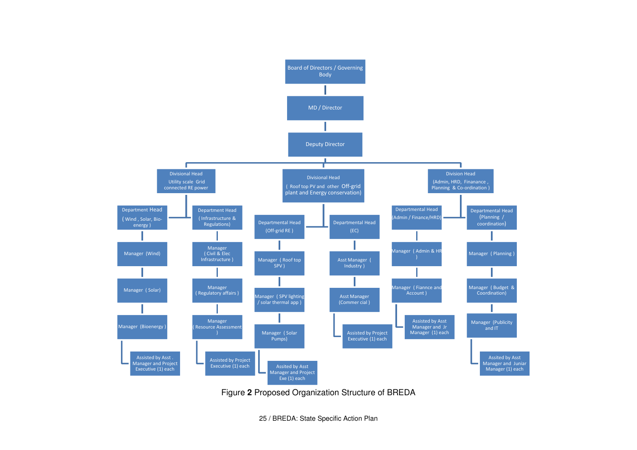

Figure **2** Proposed Organization Structure of BREDA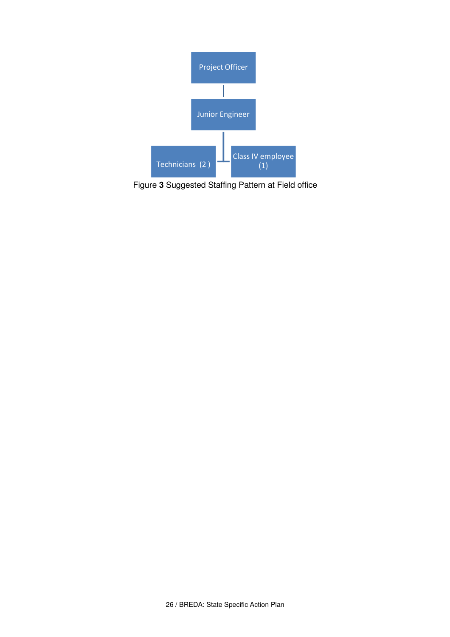

Figure **3** Suggested Staffing Pattern at Field office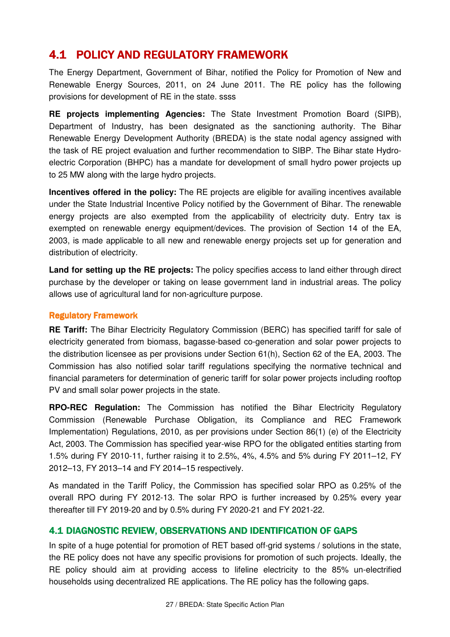# 4.1 POLICY AND REGULATORY FRAMEWORK

The Energy Department, Government of Bihar, notified the Policy for Promotion of New and Renewable Energy Sources, 2011, on 24 June 2011. The RE policy has the following provisions for development of RE in the state. ssss

**RE projects implementing Agencies:** The State Investment Promotion Board (SIPB), Department of Industry, has been designated as the sanctioning authority. The Bihar Renewable Energy Development Authority (BREDA) is the state nodal agency assigned with the task of RE project evaluation and further recommendation to SIBP. The Bihar state Hydroelectric Corporation (BHPC) has a mandate for development of small hydro power projects up to 25 MW along with the large hydro projects.

**Incentives offered in the policy:** The RE projects are eligible for availing incentives available under the State Industrial Incentive Policy notified by the Government of Bihar. The renewable energy projects are also exempted from the applicability of electricity duty. Entry tax is exempted on renewable energy equipment/devices. The provision of Section 14 of the EA, 2003, is made applicable to all new and renewable energy projects set up for generation and distribution of electricity.

**Land for setting up the RE projects:** The policy specifies access to land either through direct purchase by the developer or taking on lease government land in industrial areas. The policy allows use of agricultural land for non-agriculture purpose.

### **Regulatory Framework**

**RE Tariff:** The Bihar Electricity Regulatory Commission (BERC) has specified tariff for sale of electricity generated from biomass, bagasse-based co-generation and solar power projects to the distribution licensee as per provisions under Section 61(h), Section 62 of the EA, 2003. The Commission has also notified solar tariff regulations specifying the normative technical and financial parameters for determination of generic tariff for solar power projects including rooftop PV and small solar power projects in the state.

**RPO-REC Regulation:** The Commission has notified the Bihar Electricity Regulatory Commission (Renewable Purchase Obligation, its Compliance and REC Framework Implementation) Regulations, 2010, as per provisions under Section 86(1) (e) of the Electricity Act, 2003. The Commission has specified year-wise RPO for the obligated entities starting from 1.5% during FY 2010-11, further raising it to 2.5%, 4%, 4.5% and 5% during FY 2011–12, FY 2012–13, FY 2013–14 and FY 2014–15 respectively.

As mandated in the Tariff Policy, the Commission has specified solar RPO as 0.25% of the overall RPO during FY 2012-13. The solar RPO is further increased by 0.25% every year thereafter till FY 2019-20 and by 0.5% during FY 2020-21 and FY 2021-22.

# 4.1 DIAGNOSTIC REVIEW, OBSERVATIONS AND IDENTIFICATION OF GAPS

In spite of a huge potential for promotion of RET based off-grid systems / solutions in the state, the RE policy does not have any specific provisions for promotion of such projects. Ideally, the RE policy should aim at providing access to lifeline electricity to the 85% un-electrified households using decentralized RE applications. The RE policy has the following gaps.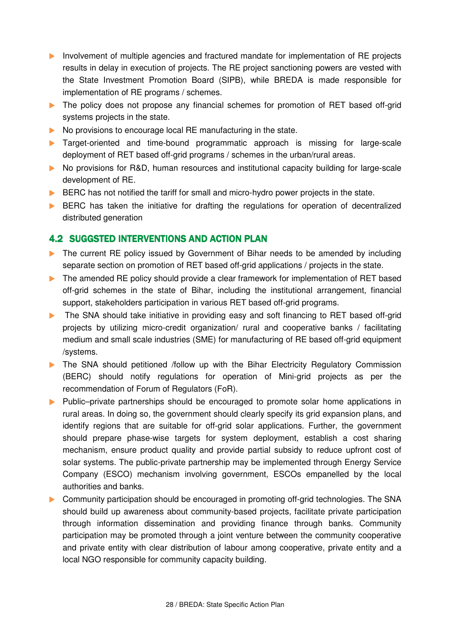- Involvement of multiple agencies and fractured mandate for implementation of RE projects results in delay in execution of projects. The RE project sanctioning powers are vested with the State Investment Promotion Board (SIPB), while BREDA is made responsible for implementation of RE programs / schemes.
- The policy does not propose any financial schemes for promotion of RET based off-grid systems projects in the state.
- No provisions to encourage local RE manufacturing in the state.
- **Target-oriented and time-bound programmatic approach is missing for large-scale** deployment of RET based off-grid programs / schemes in the urban/rural areas.
- No provisions for R&D, human resources and institutional capacity building for large-scale development of RE.
- **BERC** has not notified the tariff for small and micro-hydro power projects in the state.
- **BERC** has taken the initiative for drafting the regulations for operation of decentralized distributed generation

# 4.2 SUGGSTED INTERVENTIONS AND ACTION PLAN

- ▶ The current RE policy issued by Government of Bihar needs to be amended by including separate section on promotion of RET based off-grid applications / projects in the state.
- ▶ The amended RE policy should provide a clear framework for implementation of RET based off-grid schemes in the state of Bihar, including the institutional arrangement, financial support, stakeholders participation in various RET based off-grid programs.
- The SNA should take initiative in providing easy and soft financing to RET based off-grid projects by utilizing micro-credit organization/ rural and cooperative banks / facilitating medium and small scale industries (SME) for manufacturing of RE based off-grid equipment /systems.
- The SNA should petitioned /follow up with the Bihar Electricity Regulatory Commission (BERC) should notify regulations for operation of Mini-grid projects as per the recommendation of Forum of Regulators (FoR).
- ▶ Public–private partnerships should be encouraged to promote solar home applications in rural areas. In doing so, the government should clearly specify its grid expansion plans, and identify regions that are suitable for off-grid solar applications. Further, the government should prepare phase-wise targets for system deployment, establish a cost sharing mechanism, ensure product quality and provide partial subsidy to reduce upfront cost of solar systems. The public-private partnership may be implemented through Energy Service Company (ESCO) mechanism involving government, ESCOs empanelled by the local authorities and banks.
- Community participation should be encouraged in promoting off-grid technologies. The SNA should build up awareness about community-based projects, facilitate private participation through information dissemination and providing finance through banks. Community participation may be promoted through a joint venture between the community cooperative and private entity with clear distribution of labour among cooperative, private entity and a local NGO responsible for community capacity building.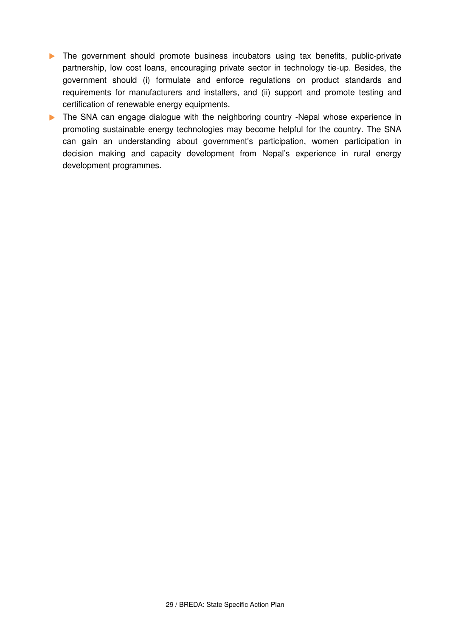- The government should promote business incubators using tax benefits, public-private partnership, low cost loans, encouraging private sector in technology tie-up. Besides, the government should (i) formulate and enforce regulations on product standards and requirements for manufacturers and installers, and (ii) support and promote testing and certification of renewable energy equipments.
- The SNA can engage dialogue with the neighboring country -Nepal whose experience in promoting sustainable energy technologies may become helpful for the country. The SNA can gain an understanding about government's participation, women participation in decision making and capacity development from Nepal's experience in rural energy development programmes.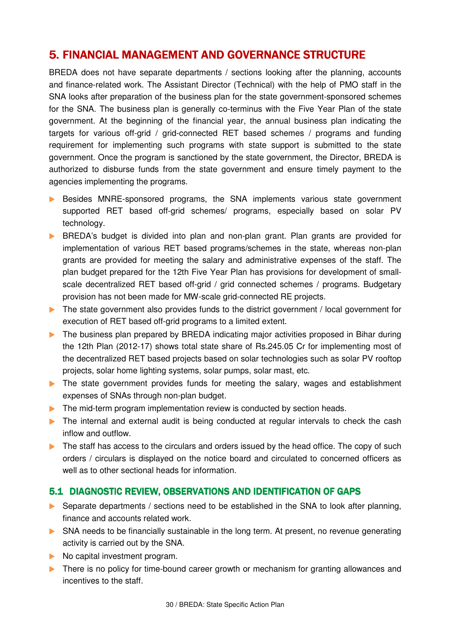# 5. FINANCIAL MANAGEMENT AND GOVERNANCE STRUCTURE

BREDA does not have separate departments / sections looking after the planning, accounts and finance-related work. The Assistant Director (Technical) with the help of PMO staff in the SNA looks after preparation of the business plan for the state government-sponsored schemes for the SNA. The business plan is generally co-terminus with the Five Year Plan of the state government. At the beginning of the financial year, the annual business plan indicating the targets for various off-grid / grid-connected RET based schemes / programs and funding requirement for implementing such programs with state support is submitted to the state government. Once the program is sanctioned by the state government, the Director, BREDA is authorized to disburse funds from the state government and ensure timely payment to the agencies implementing the programs.

- Besides MNRE-sponsored programs, the SNA implements various state government supported RET based off-grid schemes/ programs, especially based on solar PV technology.
- BREDA's budget is divided into plan and non-plan grant. Plan grants are provided for implementation of various RET based programs/schemes in the state, whereas non-plan grants are provided for meeting the salary and administrative expenses of the staff. The plan budget prepared for the 12th Five Year Plan has provisions for development of smallscale decentralized RET based off-grid / grid connected schemes / programs. Budgetary provision has not been made for MW-scale grid-connected RE projects.
- The state government also provides funds to the district government / local government for execution of RET based off-grid programs to a limited extent.
- The business plan prepared by BREDA indicating major activities proposed in Bihar during the 12th Plan (2012-17) shows total state share of Rs.245.05 Cr for implementing most of the decentralized RET based projects based on solar technologies such as solar PV rooftop projects, solar home lighting systems, solar pumps, solar mast, etc.
- The state government provides funds for meeting the salary, wages and establishment expenses of SNAs through non-plan budget.
- The mid-term program implementation review is conducted by section heads.
- The internal and external audit is being conducted at regular intervals to check the cash inflow and outflow.
- $\triangleright$  The staff has access to the circulars and orders issued by the head office. The copy of such orders / circulars is displayed on the notice board and circulated to concerned officers as well as to other sectional heads for information.

## 5.1 DIAGNOSTIC REVIEW, OBSERVATIONS AND IDENTIFICATION OF GAPS

- Separate departments / sections need to be established in the SNA to look after planning, finance and accounts related work.
- SNA needs to be financially sustainable in the long term. At present, no revenue generating activity is carried out by the SNA.
- No capital investment program.
- There is no policy for time-bound career growth or mechanism for granting allowances and incentives to the staff.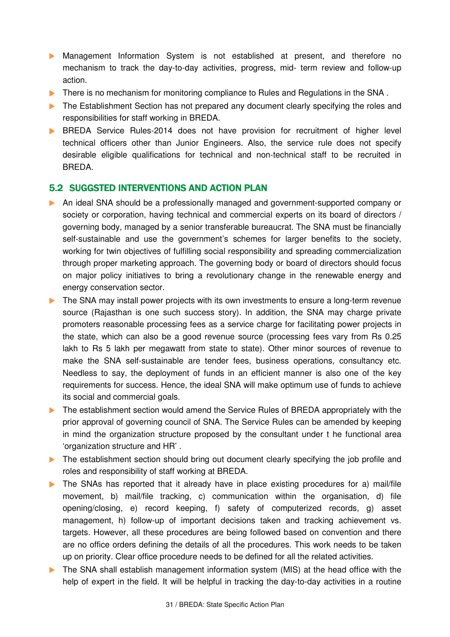- Management Information System is not established at present, and therefore no mechanism to track the day-to-day activities, progress, mid- term review and follow-up action.
- **There is no mechanism for monitoring compliance to Rules and Regulations in the SNA.**
- The Establishment Section has not prepared any document clearly specifying the roles and responsibilities for staff working in BREDA.
- **BREDA** Service Rules-2014 does not have provision for recruitment of higher level technical officers other than Junior Engineers. Also, the service rule does not specify desirable eligible qualifications for technical and non-technical staff to be recruited in BREDA.

### 5.2 SUGGSTED INTERVENTIONS AND ACTION PLAN

- An ideal SNA should be a professionally managed and government-supported company or society or corporation, having technical and commercial experts on its board of directors / governing body, managed by a senior transferable bureaucrat. The SNA must be financially self-sustainable and use the government's schemes for larger benefits to the society, working for twin objectives of fulfilling social responsibility and spreading commercialization through proper marketing approach. The governing body or board of directors should focus on major policy initiatives to bring a revolutionary change in the renewable energy and energy conservation sector.
- The SNA may install power projects with its own investments to ensure a long-term revenue source (Rajasthan is one such success story). In addition, the SNA may charge private promoters reasonable processing fees as a service charge for facilitating power projects in the state, which can also be a good revenue source (processing fees vary from Rs 0.25 lakh to Rs 5 lakh per megawatt from state to state). Other minor sources of revenue to make the SNA self-sustainable are tender fees, business operations, consultancy etc. Needless to say, the deployment of funds in an efficient manner is also one of the key requirements for success. Hence, the ideal SNA will make optimum use of funds to achieve its social and commercial goals.
- The establishment section would amend the Service Rules of BREDA appropriately with the prior approval of governing council of SNA. The Service Rules can be amended by keeping in mind the organization structure proposed by the consultant under t he functional area 'organization structure and HR' .
- The establishment section should bring out document clearly specifying the job profile and roles and responsibility of staff working at BREDA.
- The SNAs has reported that it already have in place existing procedures for a) mail/file movement, b) mail/file tracking, c) communication within the organisation, d) file opening/closing, e) record keeping, f) safety of computerized records, g) asset management, h) follow-up of important decisions taken and tracking achievement vs. targets. However, all these procedures are being followed based on convention and there are no office orders defining the details of all the procedures. This work needs to be taken up on priority. Clear office procedure needs to be defined for all the related activities.
- The SNA shall establish management information system (MIS) at the head office with the help of expert in the field. It will be helpful in tracking the day-to-day activities in a routine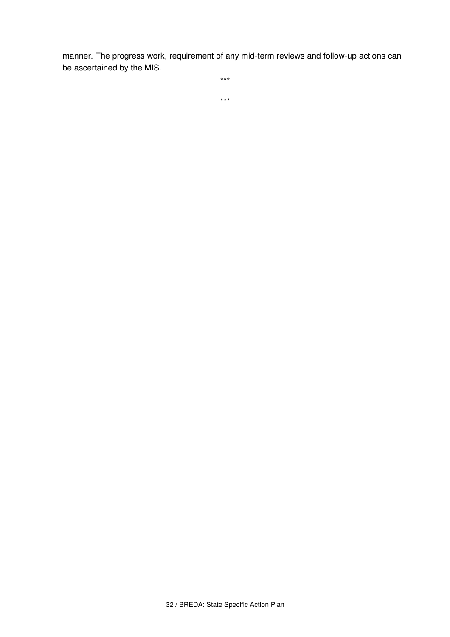manner. The progress work, requirement of any mid-term reviews and follow-up actions can be ascertained by the MIS.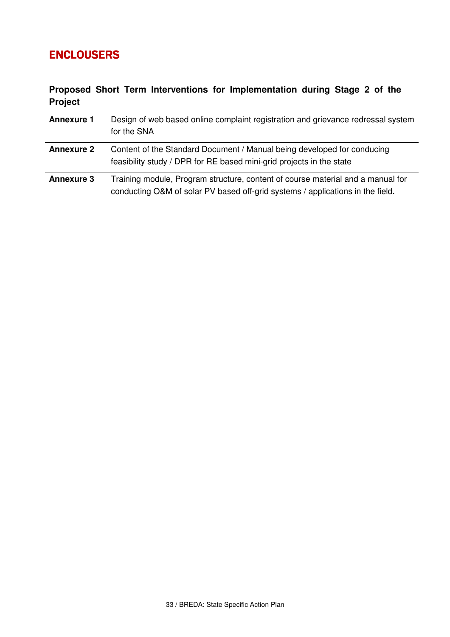# ENCLOUSERS

# **Proposed Short Term Interventions for Implementation during Stage 2 of the Project**

| <b>Annexure 1</b> | Design of web based online complaint registration and grievance redressal system<br>for the SNA                                                                   |
|-------------------|-------------------------------------------------------------------------------------------------------------------------------------------------------------------|
| <b>Annexure 2</b> | Content of the Standard Document / Manual being developed for conducing<br>feasibility study / DPR for RE based mini-grid projects in the state                   |
| <b>Annexure 3</b> | Training module, Program structure, content of course material and a manual for<br>conducting O&M of solar PV based off-grid systems / applications in the field. |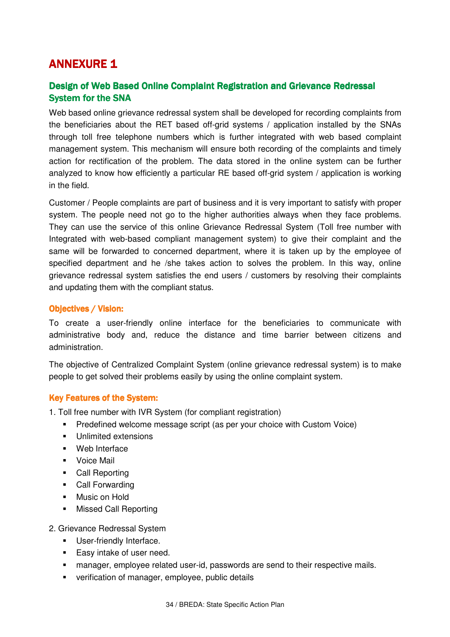# **ANNEXURE 1**

# Design of Web Based Online Complaint Registration and Grievance Redressal **System for the SNA**

Web based online grievance redressal system shall be developed for recording complaints from the beneficiaries about the RET based off-grid systems / application installed by the SNAs through toll free telephone numbers which is further integrated with web based complaint management system. This mechanism will ensure both recording of the complaints and timely action for rectification of the problem. The data stored in the online system can be further analyzed to know how efficiently a particular RE based off-grid system / application is working in the field.

Customer / People complaints are part of business and it is very important to satisfy with proper system. The people need not go to the higher authorities always when they face problems. They can use the service of this online Grievance Redressal System (Toll free number with Integrated with web-based compliant management system) to give their complaint and the same will be forwarded to concerned department, where it is taken up by the employee of specified department and he /she takes action to solves the problem. In this way, online grievance redressal system satisfies the end users / customers by resolving their complaints and updating them with the compliant status.

### **Objectives / Vision:**

To create a user-friendly online interface for the beneficiaries to communicate with administrative body and, reduce the distance and time barrier between citizens and administration.

The objective of Centralized Complaint System (online grievance redressal system) is to make people to get solved their problems easily by using the online complaint system.

### Key Features of the System:

- 1. Toll free number with IVR System (for compliant registration)
	- **Predefined welcome message script (as per your choice with Custom Voice)**
	- **•** Unlimited extensions
	- **Web Interface**
	- **Voice Mail**
	- Call Reporting
	- Call Forwarding
	- **Music on Hold**
	- **Missed Call Reporting**

#### 2. Grievance Redressal System

- **User-friendly Interface.**
- **Easy intake of user need.**
- manager, employee related user-id, passwords are send to their respective mails.
- verification of manager, employee, public details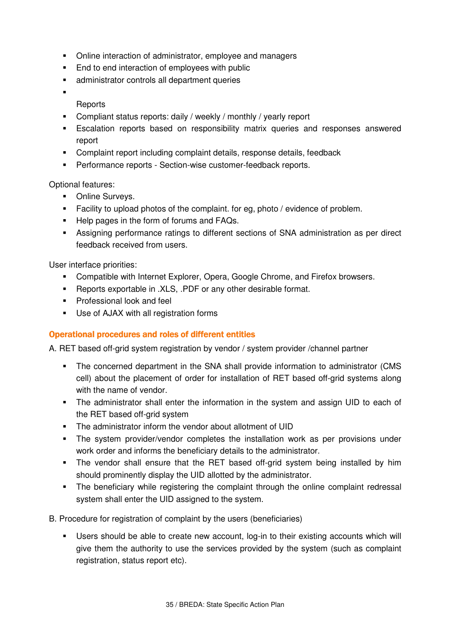- Online interaction of administrator, employee and managers
- End to end interaction of employees with public
- administrator controls all department queries
- ×,
	- **Reports**
- Compliant status reports: daily / weekly / monthly / yearly report
- Escalation reports based on responsibility matrix queries and responses answered report
- Complaint report including complaint details, response details, feedback
- **Performance reports Section-wise customer-feedback reports.**

Optional features:

- **•** Online Surveys.
- Facility to upload photos of the complaint. for eg, photo / evidence of problem.
- Help pages in the form of forums and FAQs.
- Assigning performance ratings to different sections of SNA administration as per direct feedback received from users.

User interface priorities:

- **EXPLORED EXPLORER** Compatible with Internet Explorer, Opera, Google Chrome, and Firefox browsers.
- Reports exportable in .XLS, .PDF or any other desirable format.
- **Professional look and feel**
- Use of AJAX with all registration forms

### Operational procedures and roles of different entities

A. RET based off-grid system registration by vendor / system provider /channel partner

- The concerned department in the SNA shall provide information to administrator (CMS cell) about the placement of order for installation of RET based off-grid systems along with the name of vendor.
- The administrator shall enter the information in the system and assign UID to each of the RET based off-grid system
- The administrator inform the vendor about allotment of UID
- The system provider/vendor completes the installation work as per provisions under work order and informs the beneficiary details to the administrator.
- The vendor shall ensure that the RET based off-grid system being installed by him should prominently display the UID allotted by the administrator.
- The beneficiary while registering the complaint through the online complaint redressal system shall enter the UID assigned to the system.

B. Procedure for registration of complaint by the users (beneficiaries)

 Users should be able to create new account, log-in to their existing accounts which will give them the authority to use the services provided by the system (such as complaint registration, status report etc).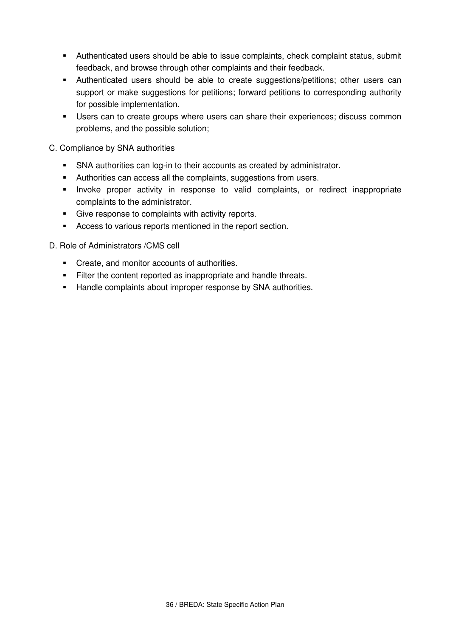- Authenticated users should be able to issue complaints, check complaint status, submit feedback, and browse through other complaints and their feedback.
- Authenticated users should be able to create suggestions/petitions; other users can support or make suggestions for petitions; forward petitions to corresponding authority for possible implementation.
- Users can to create groups where users can share their experiences; discuss common problems, and the possible solution;

### C. Compliance by SNA authorities

- **SNA authorities can log-in to their accounts as created by administrator.**
- Authorities can access all the complaints, suggestions from users.
- **Invoke proper activity in response to valid complaints, or redirect inappropriate** complaints to the administrator.
- Give response to complaints with activity reports.
- Access to various reports mentioned in the report section.

### D. Role of Administrators /CMS cell

- Create, and monitor accounts of authorities.
- Filter the content reported as inappropriate and handle threats.
- **Handle complaints about improper response by SNA authorities.**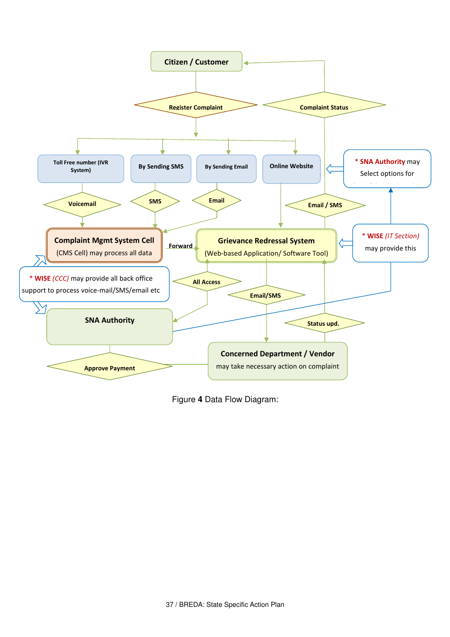

Figure **4** Data Flow Diagram: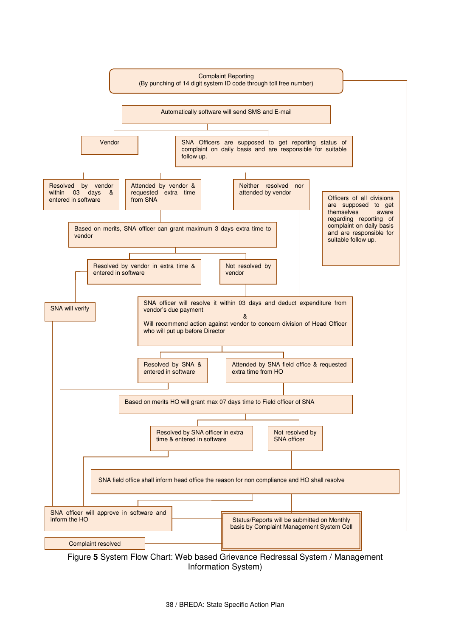

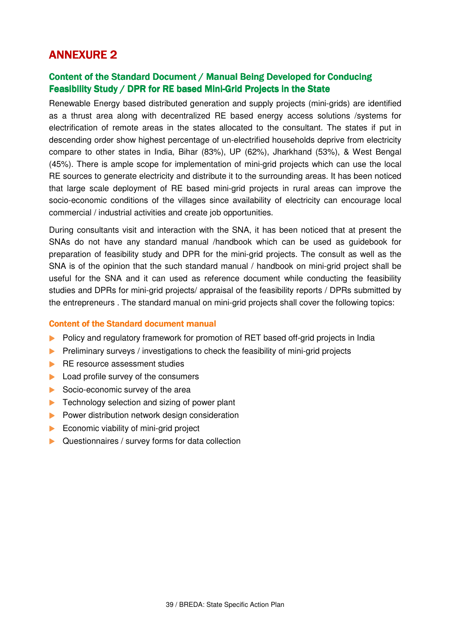# **ANNEXURE 2**

# Content of the Standard Document / Manual Being Developed for Conducing Feasibility Study / DPR for RE based Mini-Grid Projects in the State

Renewable Energy based distributed generation and supply projects (mini-grids) are identified as a thrust area along with decentralized RE based energy access solutions /systems for electrification of remote areas in the states allocated to the consultant. The states if put in descending order show highest percentage of un-electrified households deprive from electricity compare to other states in India, Bihar (83%), UP (62%), Jharkhand (53%), & West Bengal (45%). There is ample scope for implementation of mini-grid projects which can use the local RE sources to generate electricity and distribute it to the surrounding areas. It has been noticed that large scale deployment of RE based mini-grid projects in rural areas can improve the socio-economic conditions of the villages since availability of electricity can encourage local commercial / industrial activities and create job opportunities.

During consultants visit and interaction with the SNA, it has been noticed that at present the SNAs do not have any standard manual /handbook which can be used as guidebook for preparation of feasibility study and DPR for the mini-grid projects. The consult as well as the SNA is of the opinion that the such standard manual / handbook on mini-grid project shall be useful for the SNA and it can used as reference document while conducting the feasibility studies and DPRs for mini-grid projects/ appraisal of the feasibility reports / DPRs submitted by the entrepreneurs . The standard manual on mini-grid projects shall cover the following topics:

#### **Content of the Standard document manual**

- Policy and regulatory framework for promotion of RET based off-grid projects in India
- Preliminary surveys / investigations to check the feasibility of mini-grid projects
- **RE resource assessment studies**
- **Load profile survey of the consumers**
- Socio-economic survey of the area
- $\blacktriangleright$  Technology selection and sizing of power plant
- **Power distribution network design consideration**
- $\blacktriangleright$  Economic viability of mini-grid project
- ▶ Questionnaires / survey forms for data collection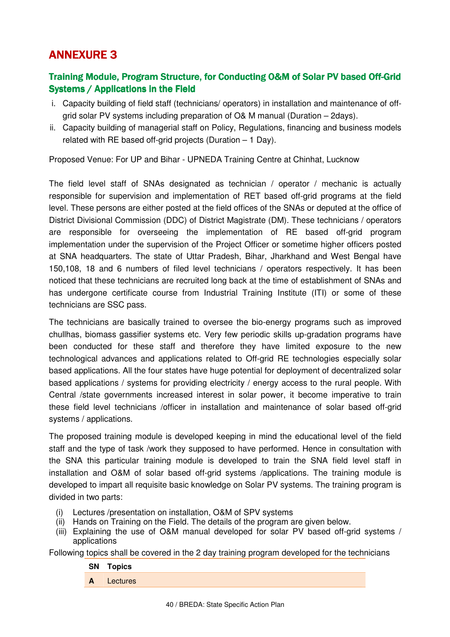# **ANNEXURE 3**

# Training Module, Program Structure, for Conducting O&M of Solar PV based Off-Grid Systems / Applications in the Field

- i. Capacity building of field staff (technicians/ operators) in installation and maintenance of offgrid solar PV systems including preparation of O& M manual (Duration – 2days).
- ii. Capacity building of managerial staff on Policy, Regulations, financing and business models related with RE based off-grid projects (Duration – 1 Day).

Proposed Venue: For UP and Bihar - UPNEDA Training Centre at Chinhat, Lucknow

The field level staff of SNAs designated as technician / operator / mechanic is actually responsible for supervision and implementation of RET based off-grid programs at the field level. These persons are either posted at the field offices of the SNAs or deputed at the office of District Divisional Commission (DDC) of District Magistrate (DM). These technicians / operators are responsible for overseeing the implementation of RE based off-grid program implementation under the supervision of the Project Officer or sometime higher officers posted at SNA headquarters. The state of Uttar Pradesh, Bihar, Jharkhand and West Bengal have 150,108, 18 and 6 numbers of filed level technicians / operators respectively. It has been noticed that these technicians are recruited long back at the time of establishment of SNAs and has undergone certificate course from Industrial Training Institute (ITI) or some of these technicians are SSC pass.

The technicians are basically trained to oversee the bio-energy programs such as improved chullhas, biomass gassifier systems etc. Very few periodic skills up-gradation programs have been conducted for these staff and therefore they have limited exposure to the new technological advances and applications related to Off-grid RE technologies especially solar based applications. All the four states have huge potential for deployment of decentralized solar based applications / systems for providing electricity / energy access to the rural people. With Central /state governments increased interest in solar power, it become imperative to train these field level technicians /officer in installation and maintenance of solar based off-grid systems / applications.

The proposed training module is developed keeping in mind the educational level of the field staff and the type of task /work they supposed to have performed. Hence in consultation with the SNA this particular training module is developed to train the SNA field level staff in installation and O&M of solar based off-grid systems /applications. The training module is developed to impart all requisite basic knowledge on Solar PV systems. The training program is divided in two parts:

- (i) Lectures /presentation on installation, O&M of SPV systems
- (ii) Hands on Training on the Field. The details of the program are given below.
- (iii) Explaining the use of O&M manual developed for solar PV based off-grid systems / applications

Following topics shall be covered in the 2 day training program developed for the technicians

#### **SN Topics**

**A** Lectures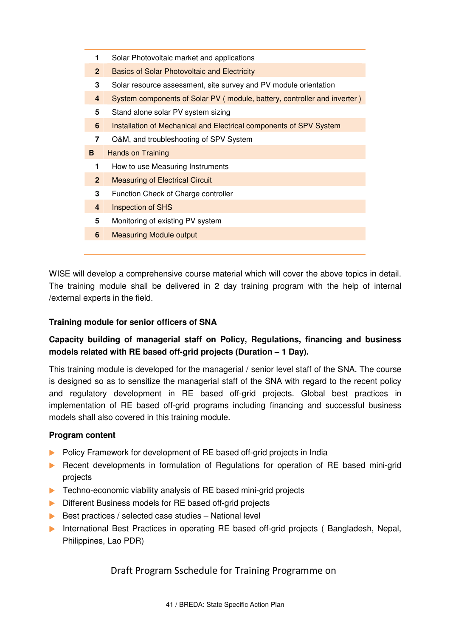| 1              | Solar Photovoltaic market and applications                               |
|----------------|--------------------------------------------------------------------------|
| $\overline{2}$ | <b>Basics of Solar Photovoltaic and Electricity</b>                      |
| 3              | Solar resource assessment, site survey and PV module orientation         |
| 4              | System components of Solar PV (module, battery, controller and inverter) |
| 5              | Stand alone solar PV system sizing                                       |
| 6              | Installation of Mechanical and Electrical components of SPV System       |
| 7              | O&M, and troubleshooting of SPV System                                   |
|                |                                                                          |
| в              | <b>Hands on Training</b>                                                 |
| 1              | How to use Measuring Instruments                                         |
| $\mathbf{2}$   | <b>Measuring of Electrical Circuit</b>                                   |
| 3              | Function Check of Charge controller                                      |
| 4              | <b>Inspection of SHS</b>                                                 |
| 5              | Monitoring of existing PV system                                         |
| 6              | <b>Measuring Module output</b>                                           |

WISE will develop a comprehensive course material which will cover the above topics in detail. The training module shall be delivered in 2 day training program with the help of internal /external experts in the field.

### **Training module for senior officers of SNA**

## **Capacity building of managerial staff on Policy, Regulations, financing and business models related with RE based off-grid projects (Duration – 1 Day).**

This training module is developed for the managerial / senior level staff of the SNA. The course is designed so as to sensitize the managerial staff of the SNA with regard to the recent policy and regulatory development in RE based off-grid projects. Global best practices in implementation of RE based off-grid programs including financing and successful business models shall also covered in this training module.

### **Program content**

- Policy Framework for development of RE based off-grid projects in India
- **Recent developments in formulation of Regulations for operation of RE based mini-grid** projects
- ▶ Techno-economic viability analysis of RE based mini-grid projects
- Different Business models for RE based off-grid projects
- $\triangleright$  Best practices / selected case studies National level
- **International Best Practices in operating RE based off-grid projects ( Bangladesh, Nepal,** Philippines, Lao PDR)

Draft Program Sschedule for Training Programme on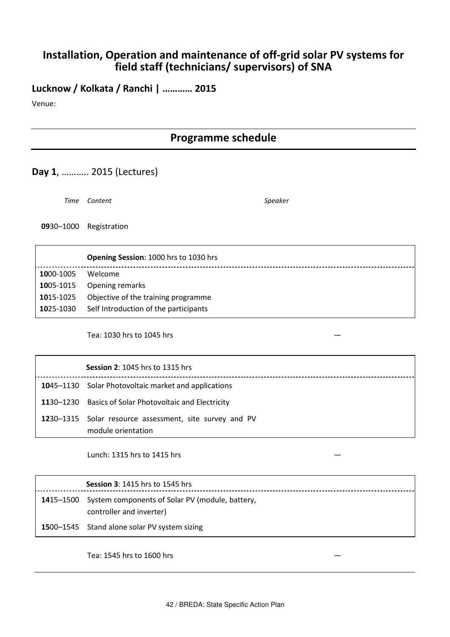# Installation, Operation and maintenance of off-grid solar PV systems for field staff (technicians/ supervisors) of SNA

Lucknow / Kolkata / Ranchi | ………… 2015

Venue:

# Programme schedule

# Day 1, ……….. 2015 (Lectures)

Time Content Speaker

0930–1000 Registration

|           | <b>Opening Session: 1000 hrs to 1030 hrs</b>    |
|-----------|-------------------------------------------------|
| 1000-1005 | Welcome                                         |
|           | 1005-1015 Opening remarks                       |
| 1015-1025 | Objective of the training programme             |
|           | 1025-1030 Self Introduction of the participants |

Tea: 1030 hrs to 1045 hrs —

| <b>Session 2: 1045 hrs to 1315 hrs</b>                  |
|---------------------------------------------------------|
| 1045-1130 Solar Photovoltaic market and applications    |
| 1130–1230 Basics of Solar Photovoltaic and Electricity  |
| 1230-1315 Solar resource assessment, site survey and PV |
| module orientation                                      |

Lunch: 1315 hrs to 1415 hrs —

|           | <b>Session 3: 1415 hrs to 1545 hrs</b>                                      |
|-----------|-----------------------------------------------------------------------------|
| 1415–1500 | System components of Solar PV (module, battery,<br>controller and inverter) |
|           | 1500-1545 Stand alone solar PV system sizing                                |

Tea: 1545 hrs to 1600 hrs —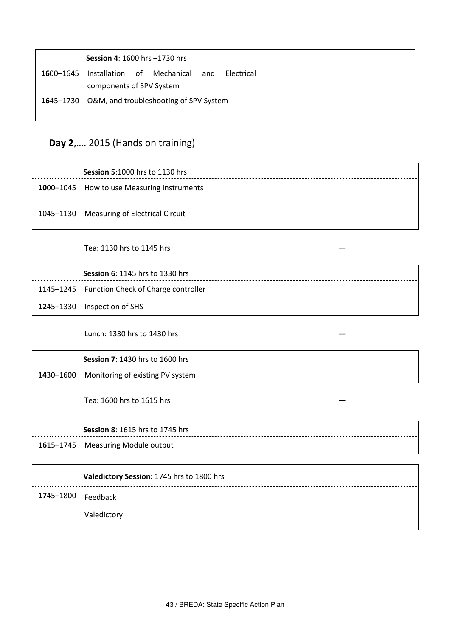| Installation of Mechanical<br>1600–1645<br>and<br>- Flectrical<br>components of SPV System<br>1645-1730 O&M, and troubleshooting of SPV System | <b>Session 4: 1600 hrs -1730 hrs</b> |  |  |
|------------------------------------------------------------------------------------------------------------------------------------------------|--------------------------------------|--|--|
|                                                                                                                                                |                                      |  |  |
|                                                                                                                                                |                                      |  |  |
|                                                                                                                                                |                                      |  |  |

# Day 2,…. 2015 (Hands on training)

Session 5:1000 hrs to 1130 hrs 1000-1045 How to use Measuring Instruments 1045–1130 Measuring of Electrical Circuit

#### Tea: 1130 hrs to 1145 hrs —

| <b>Session 6: 1145 hrs to 1330 hrs</b>        |
|-----------------------------------------------|
| 1145-1245 Function Check of Charge controller |
| <b>12</b> 45–1330 Inspection of SHS           |

Lunch: 1330 hrs to 1430 hrs —

| <b>Session 7: 1430 hrs to 1600 hrs</b>     |
|--------------------------------------------|
| 1430–1600 Monitoring of existing PV system |

------------------

Tea: 1600 hrs to 1615 hrs —

### Session 8: 1615 hrs to 1745 hrs

1615–1745 Measuring Module output

#### Valedictory Session: 1745 hrs to 1800 hrs

1745–1800 Feedback

Valedictory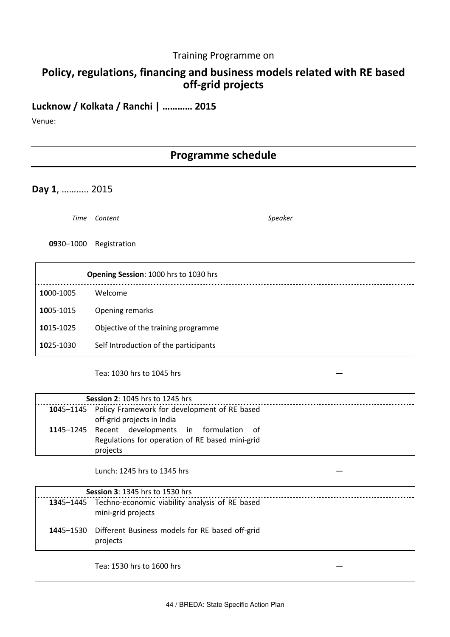### Training Programme on

# Policy, regulations, financing and business models related with RE based off-grid projects

# Lucknow / Kolkata / Ranchi | ………… 2015

Venue:

# Programme schedule

Day 1, ……….. 2015

Time Content Speaker

0930–1000 Registration

|           | Opening Session: 1000 hrs to 1030 hrs |
|-----------|---------------------------------------|
| 1000-1005 | Welcome                               |
| 1005-1015 | Opening remarks                       |
| 1015-1025 | Objective of the training programme   |
| 1025-1030 | Self Introduction of the participants |

Tea: 1030 hrs to 1045 hrs —

| <b>Session 2: 1045 hrs to 1245 hrs</b>                 |  |  |  |
|--------------------------------------------------------|--|--|--|
| 1045-1145 Policy Framework for development of RE based |  |  |  |
| off-grid projects in India                             |  |  |  |
| 1145-1245 Recent developments in formulation of        |  |  |  |
| Regulations for operation of RE based mini-grid        |  |  |  |
| projects                                               |  |  |  |

Lunch: 1245 hrs to 1345 hrs —

| <b>Session 3: 1345 hrs to 1530 hrs</b> |                                                                                |  |  |
|----------------------------------------|--------------------------------------------------------------------------------|--|--|
|                                        | 1345-1445 Techno-economic viability analysis of RE based<br>mini-grid projects |  |  |
|                                        | 1445-1530 Different Business models for RE based off-grid<br>projects          |  |  |

Tea: 1530 hrs to 1600 hrs —